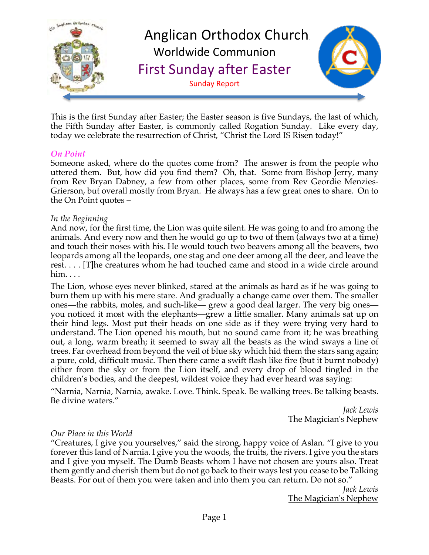

This is the first Sunday after Easter; the Easter season is five Sundays, the last of which, the Fifth Sunday after Easter, is commonly called Rogation Sunday. Like every day, today we celebrate the resurrection of Christ, "Christ the Lord IS Risen today!"

#### *On Point*

Someone asked, where do the quotes come from? The answer is from the people who uttered them. But, how did you find them? Oh, that. Some from Bishop Jerry, many from Rev Bryan Dabney, a few from other places, some from Rev Geordie Menzies-Grierson, but overall mostly from Bryan. He always has a few great ones to share. On to the On Point quotes –

#### *In the Beginning*

And now, for the first time, the Lion was quite silent. He was going to and fro among the animals. And every now and then he would go up to two of them (always two at a time) and touch their noses with his. He would touch two beavers among all the beavers, two leopards among all the leopards, one stag and one deer among all the deer, and leave the rest. . . . [T]he creatures whom he had touched came and stood in a wide circle around him. . . .

The Lion, whose eyes never blinked, stared at the animals as hard as if he was going to burn them up with his mere stare. And gradually a change came over them. The smaller ones—the rabbits, moles, and such-like— grew a good deal larger. The very big ones you noticed it most with the elephants—grew a little smaller. Many animals sat up on their hind legs. Most put their heads on one side as if they were trying very hard to understand. The Lion opened his mouth, but no sound came from it; he was breathing out, a long, warm breath; it seemed to sway all the beasts as the wind sways a line of trees. Far overhead from beyond the veil of blue sky which hid them the stars sang again; a pure, cold, difficult music. Then there came a swift flash like fire (but it burnt nobody) either from the sky or from the Lion itself, and every drop of blood tingled in the children's bodies, and the deepest, wildest voice they had ever heard was saying:

"Narnia, Narnia, Narnia, awake. Love. Think. Speak. Be walking trees. Be talking beasts. Be divine waters."

*Jack Lewis* The Magician's Nephew

### *Our Place in this World*

"Creatures, I give you yourselves," said the strong, happy voice of Aslan. "I give to you forever this land of Narnia. I give you the woods, the fruits, the rivers. I give you the stars and I give you myself. The Dumb Beasts whom I have not chosen are yours also. Treat them gently and cherish them but do not go back to their ways lest you cease to be Talking Beasts. For out of them you were taken and into them you can return. Do not so."

*Jack Lewis* The Magician's Nephew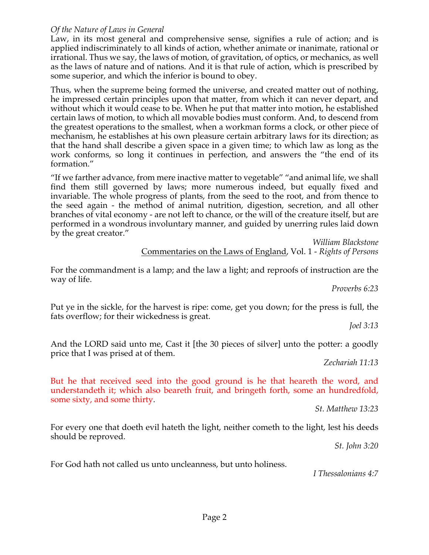### *Of the Nature of Laws in General*

Law, in its most general and comprehensive sense, signifies a rule of action; and is applied indiscriminately to all kinds of action, whether animate or inanimate, rational or irrational. Thus we say, the laws of motion, of gravitation, of optics, or mechanics, as well as the laws of nature and of nations. And it is that rule of action, which is prescribed by some superior, and which the inferior is bound to obey.

Thus, when the supreme being formed the universe, and created matter out of nothing, he impressed certain principles upon that matter, from which it can never depart, and without which it would cease to be. When he put that matter into motion, he established certain laws of motion, to which all movable bodies must conform. And, to descend from the greatest operations to the smallest, when a workman forms a clock, or other piece of mechanism, he establishes at his own pleasure certain arbitrary laws for its direction; as that the hand shall describe a given space in a given time; to which law as long as the work conforms, so long it continues in perfection, and answers the "the end of its formation."

"If we farther advance, from mere inactive matter to vegetable" "and animal life, we shall find them still governed by laws; more numerous indeed, but equally fixed and invariable. The whole progress of plants, from the seed to the root, and from thence to the seed again - the method of animal nutrition, digestion, secretion, and all other branches of vital economy - are not left to chance, or the will of the creature itself, but are performed in a wondrous involuntary manner, and guided by unerring rules laid down by the great creator."

> *William Blackstone* Commentaries on the Laws of England, Vol. 1 - *Rights of Persons*

For the commandment is a lamp; and the law a light; and reproofs of instruction are the way of life.

*Proverbs 6:23*

Put ye in the sickle, for the harvest is ripe: come, get you down; for the press is full, the fats overflow; for their wickedness is great.

*Joel 3:13*

And the LORD said unto me, Cast it [the 30 pieces of silver] unto the potter: a goodly price that I was prised at of them.

*Zechariah 11:13*

But he that received seed into the good ground is he that heareth the word, and understandeth it; which also beareth fruit, and bringeth forth, some an hundredfold, some sixty, and some thirty.

*St. Matthew 13:23*

For every one that doeth evil hateth the light, neither cometh to the light, lest his deeds should be reproved.

*St. John 3:20*

For God hath not called us unto uncleanness, but unto holiness.

*I Thessalonians 4:7*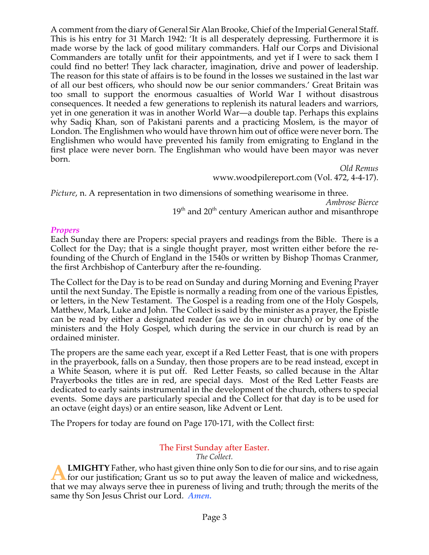A comment from the diary of General Sir Alan Brooke, Chief of the Imperial General Staff. This is his entry for 31 March 1942: 'It is all desperately depressing. Furthermore it is made worse by the lack of good military commanders. Half our Corps and Divisional Commanders are totally unfit for their appointments, and yet if I were to sack them I could find no better! They lack character, imagination, drive and power of leadership. The reason for this state of affairs is to be found in the losses we sustained in the last war of all our best officers, who should now be our senior commanders.' Great Britain was too small to support the enormous casualties of World War I without disastrous consequences. It needed a few generations to replenish its natural leaders and warriors, yet in one generation it was in another World War—a double tap. Perhaps this explains why Sadiq Khan, son of Pakistani parents and a practicing Moslem, is the mayor of London. The Englishmen who would have thrown him out of office were never born. The Englishmen who would have prevented his family from emigrating to England in the first place were never born. The Englishman who would have been mayor was never born.

*Old Remus* www.woodpilereport.com (Vol. 472, 4-4-17).

*Picture*, n. A representation in two dimensions of something wearisome in three.

*Ambrose Bierce*

19<sup>th</sup> and 20<sup>th</sup> century American author and misanthrope

### *Propers*

Each Sunday there are Propers: special prayers and readings from the Bible. There is a Collect for the Day; that is a single thought prayer, most written either before the refounding of the Church of England in the 1540s or written by Bishop Thomas Cranmer, the first Archbishop of Canterbury after the re-founding.

The Collect for the Day is to be read on Sunday and during Morning and Evening Prayer until the next Sunday. The Epistle is normally a reading from one of the various Epistles, or letters, in the New Testament. The Gospel is a reading from one of the Holy Gospels, Matthew, Mark, Luke and John. The Collect is said by the minister as a prayer, the Epistle can be read by either a designated reader (as we do in our church) or by one of the ministers and the Holy Gospel, which during the service in our church is read by an ordained minister.

The propers are the same each year, except if a Red Letter Feast, that is one with propers in the prayerbook, falls on a Sunday, then those propers are to be read instead, except in a White Season, where it is put off. Red Letter Feasts, so called because in the Altar Prayerbooks the titles are in red, are special days. Most of the Red Letter Feasts are dedicated to early saints instrumental in the development of the church, others to special events. Some days are particularly special and the Collect for that day is to be used for an octave (eight days) or an entire season, like Advent or Lent.

The Propers for today are found on Page 170-171, with the Collect first:

# The First Sunday after Easter.

*The Collect.*

**LMIGHTY** Father, who hast given thine only Son to die for our sins, and to rise again for our justification; Grant us so to put away the leaven of malice and wickedness, that we may always serve thee in pureness of living and truth; through the merits of the same thy Son Jesus Christ our Lord. *Amen.* **A**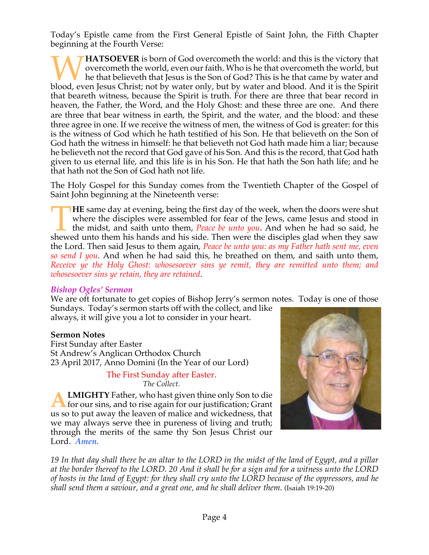Today's Epistle came from the First General Epistle of Saint John, the Fifth Chapter beginning at the Fourth Verse:

**HATSOEVER** is born of God overcometh the world: and this is the victory that overcometh the world, even our faith. Who is he that overcometh the world, but he that believeth that Jesus is the Son of God? This is he that came by water and **blood, even Jesus Christ**; not by water only, but by water and blood. And it is the Spirit blood, even Jesus Christ; not by water only, but by water and blood. And it is the Spirit that beareth witness, because the Spirit is truth. For there are three that bear record in heaven, the Father, the Word, and the Holy Ghost: and these three are one. And there are three that bear witness in earth, the Spirit, and the water, and the blood: and these three agree in one. If we receive the witness of men, the witness of God is greater: for this is the witness of God which he hath testified of his Son. He that believeth on the Son of God hath the witness in himself: he that believeth not God hath made him a liar; because he believeth not the record that God gave of his Son. And this is the record, that God hath given to us eternal life, and this life is in his Son. He that hath the Son hath life; and he that hath not the Son of God hath not life.

The Holy Gospel for this Sunday comes from the Twentieth Chapter of the Gospel of Saint John beginning at the Nineteenth verse:

**HE** same day at evening, being the first day of the week, when the doors were shut where the disciples were assembled for fear of the Jews, came Jesus and stood in the midst, and saith unto them, *Peace be unto you*. And when he had so said, he HE same day at evening, being the first day of the week, when the doors were shut where the disciples were assembled for fear of the Jews, came Jesus and stood in the midst, and saith unto them, *Peace be unto you*. And wh the Lord. Then said Jesus to them again, *Peace be unto you: as my Father hath sent me, even so send I you*. And when he had said this, he breathed on them, and saith unto them, *Receive ye the Holy Ghost: whosesoever sins ye remit, they are remitted unto them; and whosesoever sins ye retain, they are retained*.

### *Bishop Ogles' Sermon*

We are oft fortunate to get copies of Bishop Jerry's sermon notes. Today is one of those Sundays. Today's sermon starts off with the collect, and like

always, it will give you a lot to consider in your heart.

#### **Sermon Notes**

First Sunday after Easter St Andrew's Anglican Orthodox Church 23 April 2017, Anno Domini (In the Year of our Lord)

> The First Sunday after Easter. *The Collect.*

**LMIGHTY** Father, who hast given thine only Son to die for our sins, and to rise again for our justification; Grant us so to put away the leaven of malice and wickedness, that we may always serve thee in pureness of living and truth; through the merits of the same thy Son Jesus Christ our Lord. *Amen.* **A**



19 In that day shall there be an altar to the LORD in the midst of the land of Egypt, and a pillar at the border thereof to the LORD. 20 And it shall be for a sign and for a witness unto the LORD of hosts in the land of Egypt: for they shall cry unto the LORD because of the oppressors, and he *shall send them a saviour, and a great one, and he shall deliver them*. (Isaiah 19:19-20)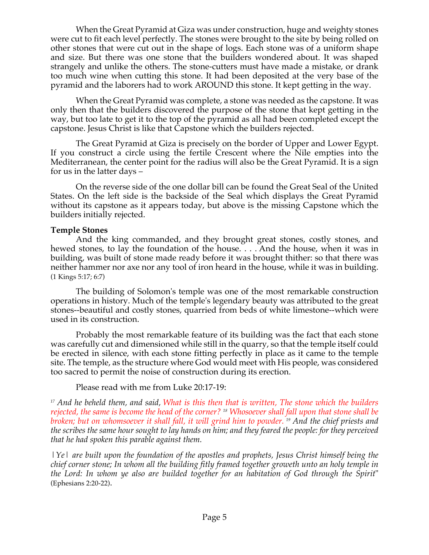When the Great Pyramid at Giza was under construction, huge and weighty stones were cut to fit each level perfectly. The stones were brought to the site by being rolled on other stones that were cut out in the shape of logs. Each stone was of a uniform shape and size. But there was one stone that the builders wondered about. It was shaped strangely and unlike the others. The stone-cutters must have made a mistake, or drank too much wine when cutting this stone. It had been deposited at the very base of the pyramid and the laborers had to work AROUND this stone. It kept getting in the way.

When the Great Pyramid was complete, a stone was needed as the capstone. It was only then that the builders discovered the purpose of the stone that kept getting in the way, but too late to get it to the top of the pyramid as all had been completed except the capstone. Jesus Christ is like that Capstone which the builders rejected.

The Great Pyramid at Giza is precisely on the border of Upper and Lower Egypt. If you construct a circle using the fertile Crescent where the Nile empties into the Mediterranean, the center point for the radius will also be the Great Pyramid. It is a sign for us in the latter days –

On the reverse side of the one dollar bill can be found the Great Seal of the United States. On the left side is the backside of the Seal which displays the Great Pyramid without its capstone as it appears today, but above is the missing Capstone which the builders initially rejected.

### **Temple Stones**

And the king commanded, and they brought great stones, costly stones, and hewed stones, to lay the foundation of the house. . . . And the house, when it was in building, was built of stone made ready before it was brought thither: so that there was neither hammer nor axe nor any tool of iron heard in the house, while it was in building. (1 Kings 5:17; 6:7)

The building of Solomon's temple was one of the most remarkable construction operations in history. Much of the temple's legendary beauty was attributed to the great stones--beautiful and costly stones, quarried from beds of white limestone--which were used in its construction.

Probably the most remarkable feature of its building was the fact that each stone was carefully cut and dimensioned while still in the quarry, so that the temple itself could be erected in silence, with each stone fitting perfectly in place as it came to the temple site. The temple, as the structure where God would meet with His people, was considered too sacred to permit the noise of construction during its erection.

Please read with me from Luke 20:17-19:

<sup>17</sup> And he beheld them, and said, What is this then that is written, The stone which the builders rejected, the same is become the head of the corner? <sup>18</sup> Whosoever shall fall upon that stone shall be broken; but on whomsoever it shall fall, it will grind him to powder.<sup>19</sup> And the chief priests and the scribes the same hour sought to lay hands on him; and they feared the people: for they perceived *that he had spoken this parable against them.*

|*Ye| are built upon the foundation of the apostles and prophets, Jesus Christ himself being the chief corner stone; In whom all the building fitly framed together groweth unto an holy temple in the Lord: In whom ye also are builded together for an habitation of God through the Spirit*" (Ephesians 2:20-22).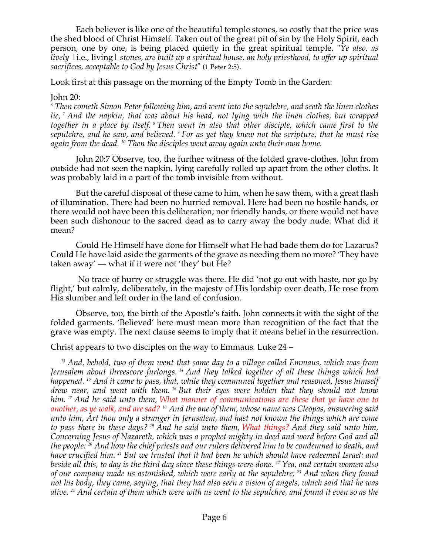Each believer is like one of the beautiful temple stones, so costly that the price was the shed blood of Christ Himself. Taken out of the great pit of sin by the Holy Spirit, each person, one by one, is being placed quietly in the great spiritual temple. "*Ye also, as lively* |i.e., living| *stones, are built up a spiritual house, an holy priesthood, to offer up spiritual sacrifices, acceptable to God by Jesus Christ*" (1 Peter 2:5).

Look first at this passage on the morning of the Empty Tomb in the Garden:

### John 20:

*<sup>6</sup> Then cometh Simon Peter following him, and went into the sepulchre, and seeth the linen clothes lie, <sup>7</sup> And the napkin, that was about his head, not lying with the linen clothes, but wrapped* together in a place by itself. <sup>8</sup> Then went in also that other disciple, which came first to the sepulchre, and he saw, and believed. <sup>9</sup> For as yet they knew not the scripture, that he must rise *again from the dead. <sup>10</sup> Then the disciples went away again unto their own home.*

John 20:7 Observe, too, the further witness of the folded grave-clothes. John from outside had not seen the napkin, lying carefully rolled up apart from the other cloths. It was probably laid in a part of the tomb invisible from without.

But the careful disposal of these came to him, when he saw them, with a great flash of illumination. There had been no hurried removal. Here had been no hostile hands, or there would not have been this deliberation; nor friendly hands, or there would not have been such dishonour to the sacred dead as to carry away the body nude. What did it mean?

Could He Himself have done for Himself what He had bade them do for Lazarus? Could He have laid aside the garments of the grave as needing them no more? 'They have taken away' — what if it were not 'they' but He?

No trace of hurry or struggle was there. He did 'not go out with haste, nor go by flight,' but calmly, deliberately, in the majesty of His lordship over death, He rose from His slumber and left order in the land of confusion.

Observe, too, the birth of the Apostle's faith. John connects it with the sight of the folded garments. 'Believed' here must mean more than recognition of the fact that the grave was empty. The next clause seems to imply that it means belief in the resurrection.

Christ appears to two disciples on the way to Emmaus*.* Luke 24 –

*<sup>13</sup> And, behold, two of them went that same day to a village called Emmaus, which was from Jerusalem about threescore furlongs. <sup>14</sup> And they talked together of all these things which had happened. <sup>15</sup> And it came to pass, that, while they communed together and reasoned, Jesus himself drew near, and went with them. <sup>16</sup> But their eyes were holden that they should not know him. <sup>17</sup> And he said unto them, What manner of communications are these that ye have one to* another, as ye walk, and are sad? <sup>18</sup> And the one of them, whose name was Cleopas, answering said *unto him, Art thou only a stranger in Jerusalem, and hast not known the things which are come to pass there in these days? <sup>19</sup> And he said unto them, What things? And they said unto him, Concerning Jesus of Nazareth, which was a prophet mighty in deed and word before God and all* the people:  $20$  And how the chief priests and our rulers delivered him to be condemned to death, and *have crucified him. <sup>21</sup> But we trusted that it had been he which should have redeemed Israel: and* beside all this, to day is the third day since these things were done.  $22$  Yea, and certain women also *of our company made us astonished, which were early at the sepulchre; <sup>23</sup> And when they found* not his body, they came, saying, that they had also seen a vision of angels, which said that he was alive. <sup>24</sup> And certain of them which were with us went to the sepulchre, and found it even so as the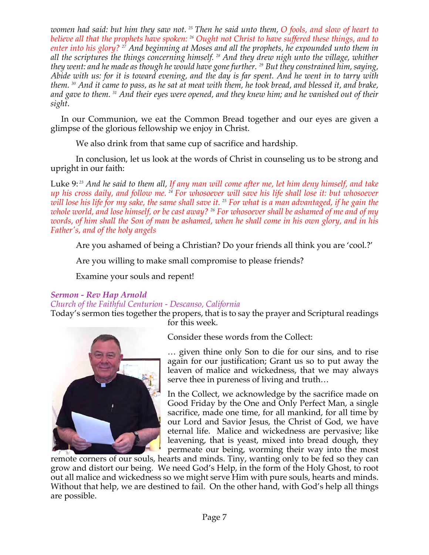women had said: but him they saw not.  $25$  Then he said unto them, O fools, and slow of heart to believe all that the prophets have spoken: <sup>26</sup> Ought not Christ to have suffered these things, and to *enter into his glory? <sup>27</sup> And beginning at Moses and all the prophets, he expounded unto them in all the scriptures the things concerning himself. <sup>28</sup> And they drew nigh unto the village, whither they went: and he made as though he would have gone further. <sup>29</sup> But they constrained him, saying,* Abide with us: for it is toward evening, and the day is far spent. And he went in to tarry with them. 30 And it came to pass, as he sat at meat with them, he took bread, and blessed it, and brake, and gave to them. 31 And their eyes were opened, and they knew him; and he vanished out of their *sight*.

In our Communion, we eat the Common Bread together and our eyes are given a glimpse of the glorious fellowship we enjoy in Christ.

We also drink from that same cup of sacrifice and hardship.

In conclusion, let us look at the words of Christ in counseling us to be strong and upright in our faith:

Luke 9: $^{23}$  And he said to them all, If any man will come after me, let him deny himself, and take up his cross daily, and follow me. <sup>24</sup> For whosoever will save his life shall lose it: but whosoever will lose his life for my sake, the same shall save it. <sup>25</sup> For what is a man advantaged, if he gain the whole world, and lose himself, or be cast away? <sup>26</sup> For whosoever shall be ashamed of me and of my words, of him shall the Son of man be ashamed, when he shall come in his own glory, and in his *Father's, and of the holy angels*

Are you ashamed of being a Christian? Do your friends all think you are 'cool.?'

Are you willing to make small compromise to please friends?

Examine your souls and repent!

## *Sermon - Rev Hap Arnold*

*Church of the Faithful Centurion - Descanso, California*

Today's sermon ties together the propers, that is to say the prayer and Scriptural readings for this week.



Consider these words from the Collect:

… given thine only Son to die for our sins, and to rise again for our justification; Grant us so to put away the leaven of malice and wickedness, that we may always serve thee in pureness of living and truth…

In the Collect, we acknowledge by the sacrifice made on Good Friday by the One and Only Perfect Man, a single sacrifice, made one time, for all mankind, for all time by our Lord and Savior Jesus, the Christ of God, we have eternal life. Malice and wickedness are pervasive; like leavening, that is yeast, mixed into bread dough, they permeate our being, worming their way into the most

remote corners of our souls, hearts and minds. Tiny, wanting only to be fed so they can grow and distort our being. We need God's Help, in the form of the Holy Ghost, to root out all malice and wickedness so we might serve Him with pure souls, hearts and minds. Without that help, we are destined to fail. On the other hand, with God's help all things are possible.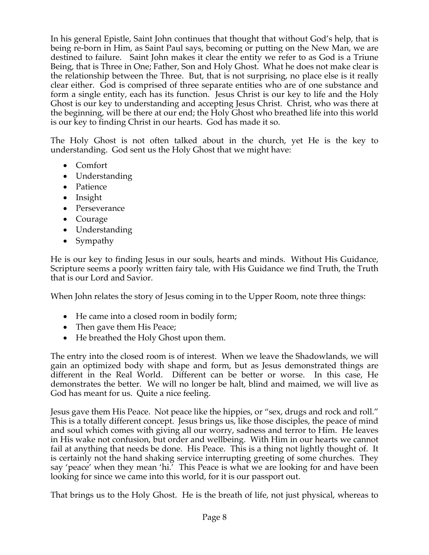In his general Epistle, Saint John continues that thought that without God's help, that is being re-born in Him, as Saint Paul says, becoming or putting on the New Man, we are destined to failure. Saint John makes it clear the entity we refer to as God is a Triune Being, that is Three in One; Father, Son and Holy Ghost. What he does not make clear is the relationship between the Three. But, that is not surprising, no place else is it really clear either. God is comprised of three separate entities who are of one substance and form a single entity, each has its function. Jesus Christ is our key to life and the Holy Ghost is our key to understanding and accepting Jesus Christ. Christ, who was there at the beginning, will be there at our end; the Holy Ghost who breathed life into this world is our key to finding Christ in our hearts. God has made it so.

The Holy Ghost is not often talked about in the church, yet He is the key to understanding. God sent us the Holy Ghost that we might have:

- Comfort
- Understanding
- Patience
- Insight
- Perseverance
- Courage
- Understanding
- Sympathy

He is our key to finding Jesus in our souls, hearts and minds. Without His Guidance, Scripture seems a poorly written fairy tale, with His Guidance we find Truth, the Truth that is our Lord and Savior.

When John relates the story of Jesus coming in to the Upper Room, note three things:

- He came into a closed room in bodily form;
- Then gave them His Peace;
- He breathed the Holy Ghost upon them.

The entry into the closed room is of interest. When we leave the Shadowlands, we will gain an optimized body with shape and form, but as Jesus demonstrated things are different in the Real World. Different can be better or worse. In this case, He demonstrates the better. We will no longer be halt, blind and maimed, we will live as God has meant for us. Quite a nice feeling.

Jesus gave them His Peace. Not peace like the hippies, or "sex, drugs and rock and roll." This is a totally different concept. Jesus brings us, like those disciples, the peace of mind and soul which comes with giving all our worry, sadness and terror to Him. He leaves in His wake not confusion, but order and wellbeing. With Him in our hearts we cannot fail at anything that needs be done. His Peace. This is a thing not lightly thought of. It is certainly not the hand shaking service interrupting greeting of some churches. They say 'peace' when they mean 'hi.' This Peace is what we are looking for and have been looking for since we came into this world, for it is our passport out.

That brings us to the Holy Ghost. He is the breath of life, not just physical, whereas to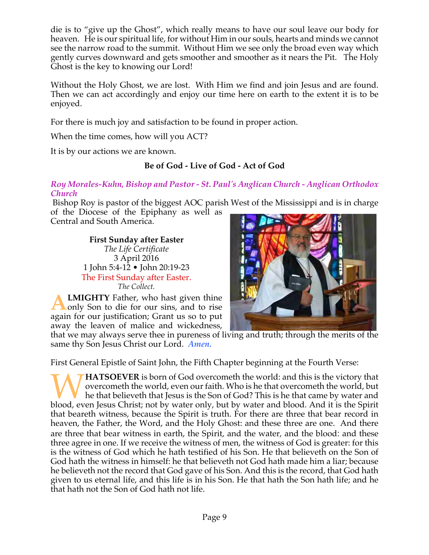die is to "give up the Ghost", which really means to have our soul leave our body for heaven. He is our spiritual life, for without Him in our souls, hearts and minds we cannot see the narrow road to the summit. Without Him we see only the broad even way which gently curves downward and gets smoother and smoother as it nears the Pit. The Holy Ghost is the key to knowing our Lord!

Without the Holy Ghost, we are lost. With Him we find and join Jesus and are found. Then we can act accordingly and enjoy our time here on earth to the extent it is to be enjoyed.

For there is much joy and satisfaction to be found in proper action.

When the time comes, how will you ACT?

It is by our actions we are known.

# **Be of God - Live of God - Act of God**

# *Roy Morales-Kuhn, Bishop and Pastor - St. Paul's Anglican Church - Anglican Orthodox Church*

Bishop Roy is pastor of the biggest AOC parish West of the Mississippi and is in charge of the Diocese of the Epiphany as well as

Central and South America.

# **First Sunday after Easter**

*The Life Certificate* 3 April 2016 1 John 5:4-12 • John 20:19-23 The First Sunday after Easter. *The Collect.*

**LMIGHTY** Father, who hast given thine only Son to die for our sins, and to rise again for our justification; Grant us so to put away the leaven of malice and wickedness, **A**



that we may always serve thee in pureness of living and truth; through the merits of the same thy Son Jesus Christ our Lord. *Amen.*

First General Epistle of Saint John, the Fifth Chapter beginning at the Fourth Verse:

**HATSOEVER** is born of God overcometh the world: and this is the victory that overcometh the world, even our faith. Who is he that overcometh the world, but he that believeth that Jesus is the Son of God? This is he that came by water and **blood, even Jesus Christ**; not by water only, but by water and blood. And it is the Spirit blood, even Jesus Christ; not by water only, but by water and blood. And it is the Spirit that beareth witness, because the Spirit is truth. For there are three that bear record in heaven, the Father, the Word, and the Holy Ghost: and these three are one. And there are three that bear witness in earth, the Spirit, and the water, and the blood: and these three agree in one. If we receive the witness of men, the witness of God is greater: for this is the witness of God which he hath testified of his Son. He that believeth on the Son of God hath the witness in himself: he that believeth not God hath made him a liar; because he believeth not the record that God gave of his Son. And this is the record, that God hath given to us eternal life, and this life is in his Son. He that hath the Son hath life; and he that hath not the Son of God hath not life.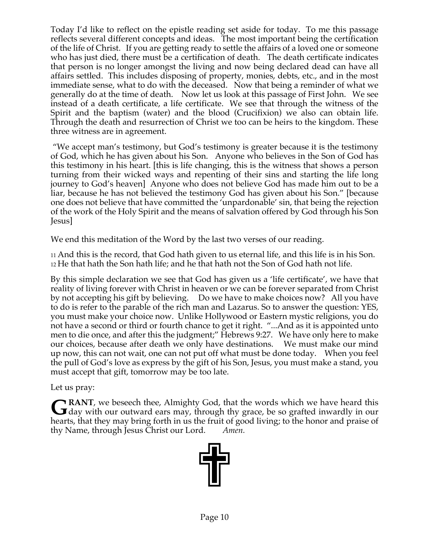Today I'd like to reflect on the epistle reading set aside for today. To me this passage reflects several different concepts and ideas. The most important being the certification of the life of Christ. If you are getting ready to settle the affairs of a loved one or someone who has just died, there must be a certification of death. The death certificate indicates that person is no longer amongst the living and now being declared dead can have all affairs settled. This includes disposing of property, monies, debts, etc., and in the most immediate sense, what to do with the deceased. Now that being a reminder of what we generally do at the time of death. Now let us look at this passage of First John. We see instead of a death certificate, a life certificate. We see that through the witness of the Spirit and the baptism (water) and the blood (Crucifixion) we also can obtain life. Through the death and resurrection of Christ we too can be heirs to the kingdom. These three witness are in agreement.

"We accept man's testimony, but God's testimony is greater because it is the testimony of God, which he has given about his Son. Anyone who believes in the Son of God has this testimony in his heart. [this is life changing, this is the witness that shows a person turning from their wicked ways and repenting of their sins and starting the life long journey to God's heaven] Anyone who does not believe God has made him out to be a liar, because he has not believed the testimony God has given about his Son." [because one does not believe that have committed the 'unpardonable' sin, that being the rejection of the work of the Holy Spirit and the means of salvation offered by God through his Son Jesus]

We end this meditation of the Word by the last two verses of our reading.

<sup>11</sup> And this is the record, that God hath given to us eternal life, and this life is in his Son. <sup>12</sup> He that hath the Son hath life; and he that hath not the Son of God hath not life.

By this simple declaration we see that God has given us a 'life certificate', we have that reality of living forever with Christ in heaven or we can be forever separated from Christ by not accepting his gift by believing. Do we have to make choices now? All you have to do is refer to the parable of the rich man and Lazarus. So to answer the question: YES, you must make your choice now. Unlike Hollywood or Eastern mystic religions, you do not have a second or third or fourth chance to get it right. "...And as it is appointed unto men to die once, and after this the judgment;" Hebrews 9:27. We have only here to make our choices, because after death we only have destinations. We must make our mind up now, this can not wait, one can not put off what must be done today. When you feel the pull of God's love as express by the gift of his Son, Jesus, you must make a stand, you must accept that gift, tomorrow may be too late.

Let us pray:

**RANT**, we beseech thee, Almighty God, that the words which we have heard this GRANT, we beseech thee, Almighty God, that the words which we have heard this day with our outward ears may, through thy grace, be so grafted inwardly in our hearts, that they may bring forth in us the fruit of good living; to the honor and praise of thy Name, through Jesus Christ our Lord. *Amen.*

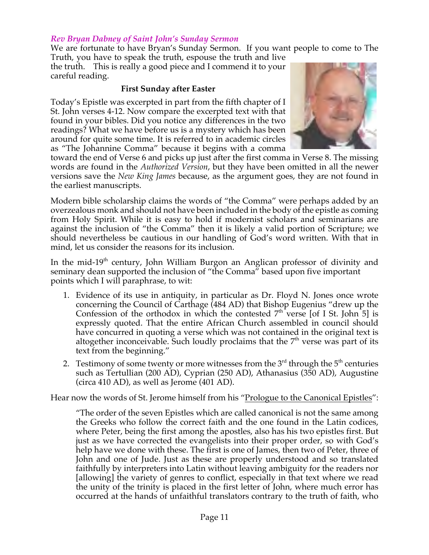### *Rev Bryan Dabney of Saint John's Sunday Sermon*

We are fortunate to have Bryan's Sunday Sermon. If you want people to come to The Truth, you have to speak the truth, espouse the truth and live

the truth. This is really a good piece and I commend it to your careful reading.

### **First Sunday after Easter**

Today's Epistle was excerpted in part from the fifth chapter of I St. John verses 4-12. Now compare the excerpted text with that found in your bibles. Did you notice any differences in the two readings? What we have before us is a mystery which has been around for quite some time. It is referred to in academic circles as "The Johannine Comma" because it begins with a comma



toward the end of Verse 6 and picks up just after the first comma in Verse 8. The missing words are found in the *Authorized Version*, but they have been omitted in all the newer versions save the *New King James* because, as the argument goes, they are not found in the earliest manuscripts.

Modern bible scholarship claims the words of "the Comma" were perhaps added by an overzealous monk and should not have been included in the body of the epistle as coming from Holy Spirit. While it is easy to hold if modernist scholars and seminarians are against the inclusion of "the Comma" then it is likely a valid portion of Scripture; we should nevertheless be cautious in our handling of God's word written. With that in mind, let us consider the reasons for its inclusion.

In the mid-19<sup>th</sup> century, John William Burgon an Anglican professor of divinity and seminary dean supported the inclusion of "the Comma" based upon five important points which I will paraphrase, to wit:

- 1. Evidence of its use in antiquity, in particular as Dr. Floyd N. Jones once wrote concerning the Council of Carthage (484 AD) that Bishop Eugenius "drew up the Confession of the orthodox in which the contested  $7<sup>th</sup>$  verse [of I St. John 5] is expressly quoted. That the entire African Church assembled in council should have concurred in quoting a verse which was not contained in the original text is altogether inconceivable. Such loudly proclaims that the  $7<sup>th</sup>$  verse was part of its text from the beginning."
- 2. Testimony of some twenty or more witnesses from the  $3<sup>rd</sup>$  through the  $5<sup>th</sup>$  centuries such as Tertullian (200 AD), Cyprian (250 AD), Athanasius (350 AD), Augustine (circa 410 AD), as well as Jerome (401 AD).

Hear now the words of St. Jerome himself from his "Prologue to the Canonical Epistles":

"The order of the seven Epistles which are called canonical is not the same among the Greeks who follow the correct faith and the one found in the Latin codices, where Peter, being the first among the apostles, also has his two epistles first. But just as we have corrected the evangelists into their proper order, so with God's help have we done with these. The first is one of James, then two of Peter, three of John and one of Jude. Just as these are properly understood and so translated faithfully by interpreters into Latin without leaving ambiguity for the readers nor [allowing] the variety of genres to conflict, especially in that text where we read the unity of the trinity is placed in the first letter of John, where much error has occurred at the hands of unfaithful translators contrary to the truth of faith, who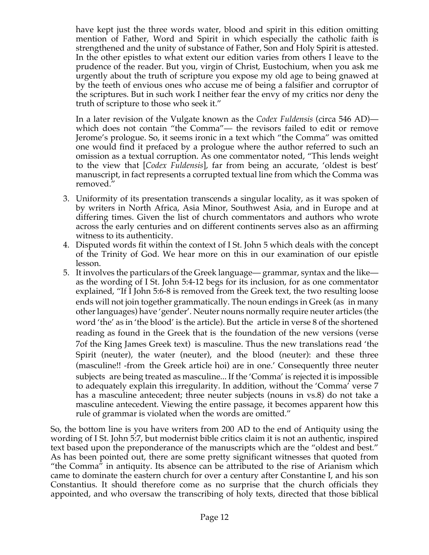have kept just the three words water, blood and spirit in this edition omitting mention of Father, Word and Spirit in which especially the catholic faith is strengthened and the unity of substance of Father, Son and Holy Spirit is attested. In the other epistles to what extent our edition varies from others I leave to the prudence of the reader. But you, virgin of Christ, Eustochium, when you ask me urgently about the truth of scripture you expose my old age to being gnawed at by the teeth of envious ones who accuse me of being a falsifier and corruptor of the scriptures. But in such work I neither fear the envy of my critics nor deny the truth of scripture to those who seek it."

In a later revision of the Vulgate known as the *Codex Fuldensis* (circa 546 AD) which does not contain "the Comma"— the revisors failed to edit or remove Jerome's prologue. So, it seems ironic in a text which "the Comma" was omitted one would find it prefaced by a prologue where the author referred to such an omission as a textual corruption. As one commentator noted, "This lends weight to the view that [*Codex Fuldensis*], far from being an accurate, 'oldest is best' manuscript, in fact represents a corrupted textual line from which the Comma was removed."

- 3. Uniformity of its presentation transcends a singular locality, as it was spoken of by writers in North Africa, Asia Minor, Southwest Asia, and in Europe and at differing times. Given the list of church commentators and authors who wrote across the early centuries and on different continents serves also as an affirming witness to its authenticity.
- 4. Disputed words fit within the context of I St. John 5 which deals with the concept of the Trinity of God. We hear more on this in our examination of our epistle lesson.
- 5. It involves the particulars of the Greek language— grammar, syntax and the like as the wording of I St. John 5:4-12 begs for its inclusion, for as one commentator explained, "If I John 5:6-8 is removed from the Greek text, the two resulting loose ends will not join together grammatically. The noun endings in Greek (as in many other languages) have 'gender'. Neuter nouns normally require neuter articles (the word 'the' as in 'the blood' is the article). But the article in verse 8 of the shortened reading as found in the Greek that is the foundation of the new versions (verse 7of the King James Greek text) is masculine. Thus the new translations read 'the Spirit (neuter), the water (neuter), and the blood (neuter): and these three (masculine!! -from the Greek article hoi) are in one.' Consequently three neuter subjects are being treated as masculine... If the 'Comma' is rejected it is impossible to adequately explain this irregularity. In addition, without the 'Comma' verse 7 has a masculine antecedent; three neuter subjects (nouns in vs.8) do not take a masculine antecedent. Viewing the entire passage, it becomes apparent how this rule of grammar is violated when the words are omitted."

So, the bottom line is you have writers from 200 AD to the end of Antiquity using the wording of I St. John 5:7, but modernist bible critics claim it is not an authentic, inspired text based upon the preponderance of the manuscripts which are the "oldest and best." As has been pointed out, there are some pretty significant witnesses that quoted from "the Comma" in antiquity. Its absence can be attributed to the rise of Arianism which came to dominate the eastern church for over a century after Constantine I, and his son Constantius. It should therefore come as no surprise that the church officials they appointed, and who oversaw the transcribing of holy texts, directed that those biblical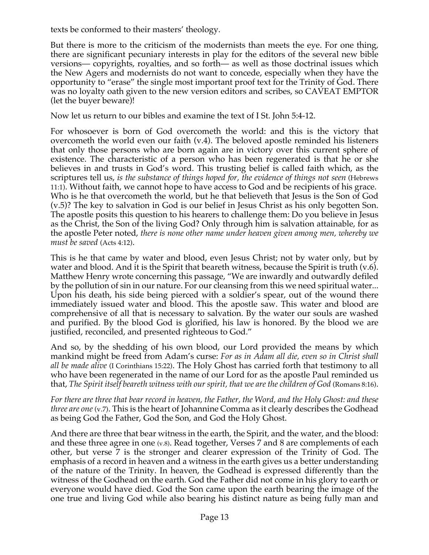texts be conformed to their masters' theology.

But there is more to the criticism of the modernists than meets the eye. For one thing, there are significant pecuniary interests in play for the editors of the several new bible versions— copyrights, royalties, and so forth— as well as those doctrinal issues which the New Agers and modernists do not want to concede, especially when they have the opportunity to "erase" the single most important proof text for the Trinity of God. There was no loyalty oath given to the new version editors and scribes, so CAVEAT EMPTOR (let the buyer beware)!

Now let us return to our bibles and examine the text of I St. John 5:4-12.

For whosoever is born of God overcometh the world: and this is the victory that overcometh the world even our faith (v.4). The beloved apostle reminded his listeners that only those persons who are born again are in victory over this current sphere of existence. The characteristic of a person who has been regenerated is that he or she believes in and trusts in God's word. This trusting belief is called faith which, as the scriptures tell us, *is the substance of things hoped for, the evidence of things not seen* (Hebrews 11:1). Without faith, we cannot hope to have access to God and be recipients of his grace. Who is he that overcometh the world, but he that believeth that Jesus is the Son of God (v.5)? The key to salvation in God is our belief in Jesus Christ as his only begotten Son. The apostle posits this question to his hearers to challenge them: Do you believe in Jesus as the Christ, the Son of the living God? Only through him is salvation attainable, for as the apostle Peter noted, *there is none other name under heaven given among men, whereby we must be saved* (Acts 4:12).

This is he that came by water and blood, even Jesus Christ; not by water only, but by water and blood. And it is the Spirit that beareth witness, because the Spirit is truth (v.6). Matthew Henry wrote concerning this passage, "We are inwardly and outwardly defiled by the pollution of sin in our nature. For our cleansing from this we need spiritual water... Upon his death, his side being pierced with a soldier's spear, out of the wound there immediately issued water and blood. This the apostle saw. This water and blood are comprehensive of all that is necessary to salvation. By the water our souls are washed and purified. By the blood God is glorified, his law is honored. By the blood we are justified, reconciled, and presented righteous to God."

And so, by the shedding of his own blood, our Lord provided the means by which mankind might be freed from Adam's curse: *For as in Adam all die, even so in Christ shall all be made alive* (I Corinthians 15:22). The Holy Ghost has carried forth that testimony to all who have been regenerated in the name of our Lord for as the apostle Paul reminded us that, *The Spirit itself beareth witness with our spirit, that we are the children of God* (Romans 8:16).

*For there are three that bear record in heaven, the Father, the Word, and the Holy Ghost: and these three are one* (v.7). This is the heart of Johannine Comma as it clearly describes the Godhead as being God the Father, God the Son, and God the Holy Ghost.

And there are three that bear witness in the earth, the Spirit, and the water, and the blood: and these three agree in one (v.8). Read together, Verses 7 and 8 are complements of each other, but verse 7 is the stronger and clearer expression of the Trinity of God. The emphasis of a record in heaven and a witness in the earth gives us a better understanding of the nature of the Trinity. In heaven, the Godhead is expressed differently than the witness of the Godhead on the earth. God the Father did not come in his glory to earth or everyone would have died. God the Son came upon the earth bearing the image of the one true and living God while also bearing his distinct nature as being fully man and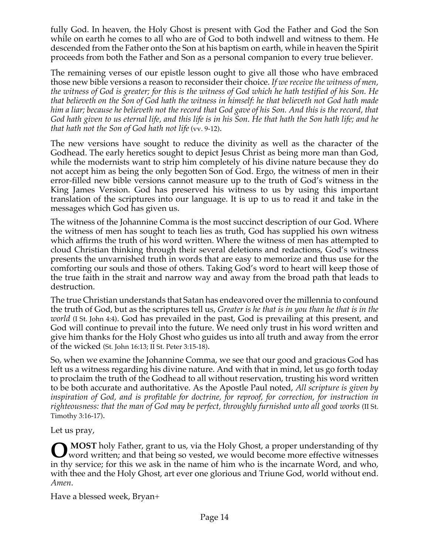fully God. In heaven, the Holy Ghost is present with God the Father and God the Son while on earth he comes to all who are of God to both indwell and witness to them. He descended from the Father onto the Son at his baptism on earth, while in heaven the Spirit proceeds from both the Father and Son as a personal companion to every true believer.

The remaining verses of our epistle lesson ought to give all those who have embraced those new bible versions a reason to reconsider their choice. *If we receive the witness of men, the witness of God is greater; for this is the witness of God which he hath testified of his Son. He that believeth on the Son of God hath the witness in himself: he that believeth not God hath made him a liar; because he believeth not the record that God gave of his Son. And this is the record, that God hath given to us eternal life, and this life is in his Son. He that hath the Son hath life; and he that hath not the Son of God hath not life* (vv. 9-12).

The new versions have sought to reduce the divinity as well as the character of the Godhead. The early heretics sought to depict Jesus Christ as being more man than God, while the modernists want to strip him completely of his divine nature because they do not accept him as being the only begotten Son of God. Ergo, the witness of men in their error-filled new bible versions cannot measure up to the truth of God's witness in the King James Version. God has preserved his witness to us by using this important translation of the scriptures into our language. It is up to us to read it and take in the messages which God has given us.

The witness of the Johannine Comma is the most succinct description of our God. Where the witness of men has sought to teach lies as truth, God has supplied his own witness which affirms the truth of his word written. Where the witness of men has attempted to cloud Christian thinking through their several deletions and redactions, God's witness presents the unvarnished truth in words that are easy to memorize and thus use for the comforting our souls and those of others. Taking God's word to heart will keep those of the true faith in the strait and narrow way and away from the broad path that leads to destruction.

The true Christian understands that Satan has endeavored over the millennia to confound the truth of God, but as the scriptures tell us, *Greater is he that is in you than he that is in the world* (I St. John 4:4). God has prevailed in the past, God is prevailing at this present, and God will continue to prevail into the future. We need only trust in his word written and give him thanks for the Holy Ghost who guides us into all truth and away from the error of the wicked (St. John 16:13; II St. Peter 3:15-18).

So, when we examine the Johannine Comma, we see that our good and gracious God has left us a witness regarding his divine nature. And with that in mind, let us go forth today to proclaim the truth of the Godhead to all without reservation, trusting his word written to be both accurate and authoritative. As the Apostle Paul noted, *All scripture is given by inspiration of God, and is profitable for doctrine, for reproof, for correction, for instruction in righteousness: that the man of God may be perfect, throughly furnished unto all good works* (II St. Timothy 3:16-17).

Let us pray,

**MOST** holy Father, grant to us, via the Holy Ghost, a proper understanding of thy **O** MOST holy Father, grant to us, via the Holy Ghost, a proper understanding of thy word written; and that being so vested, we would become more effective witnesses in thy service; for this we ask in the name of him who is the incarnate Word, and who, with thee and the Holy Ghost, art ever one glorious and Triune God, world without end. *Amen*.

Have a blessed week, Bryan+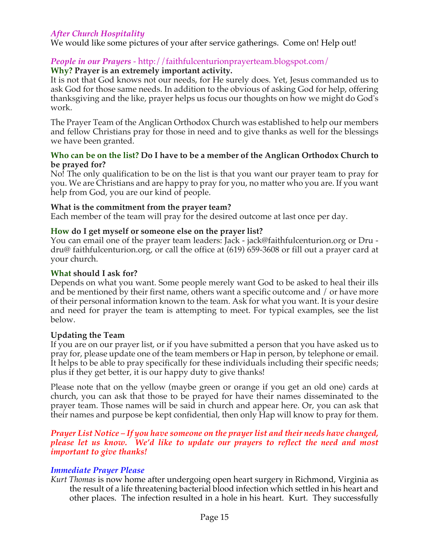## *After Church Hospitality*

We would like some pictures of your after service gatherings. Come on! Help out!

## *People in our Prayers* - http://faithfulcenturionprayerteam.blogspot.com/

### **Why? Prayer is an extremely important activity.**

It is not that God knows not our needs, for He surely does. Yet, Jesus commanded us to ask God for those same needs. In addition to the obvious of asking God for help, offering thanksgiving and the like, prayer helps us focus our thoughts on how we might do God's work.

The Prayer Team of the Anglican Orthodox Church was established to help our members and fellow Christians pray for those in need and to give thanks as well for the blessings we have been granted.

#### **Who can be on the list? Do I have to be a member of the Anglican Orthodox Church to be prayed for?**

No! The only qualification to be on the list is that you want our prayer team to pray for you. We are Christians and are happy to pray for you, no matter who you are. If you want help from God, you are our kind of people.

### **What is the commitment from the prayer team?**

Each member of the team will pray for the desired outcome at last once per day.

#### **How do I get myself or someone else on the prayer list?**

You can email one of the prayer team leaders: Jack - jack@faithfulcenturion.org or Dru dru@ faithfulcenturion.org, or call the office at (619) 659-3608 or fill out a prayer card at your church.

#### **What should I ask for?**

Depends on what you want. Some people merely want God to be asked to heal their ills and be mentioned by their first name, others want a specific outcome and / or have more of their personal information known to the team. Ask for what you want. It is your desire and need for prayer the team is attempting to meet. For typical examples, see the list below.

### **Updating the Team**

If you are on our prayer list, or if you have submitted a person that you have asked us to pray for, please update one of the team members or Hap in person, by telephone or email. It helps to be able to pray specifically for these individuals including their specific needs; plus if they get better, it is our happy duty to give thanks!

Please note that on the yellow (maybe green or orange if you get an old one) cards at church, you can ask that those to be prayed for have their names disseminated to the prayer team. Those names will be said in church and appear here. Or, you can ask that their names and purpose be kept confidential, then only Hap will know to pray for them.

### *Prayer List Notice – If you have someone on the prayer list and their needs have changed, please let us know. We'd like to update our prayers to reflect the need and most important to give thanks!*

### *Immediate Prayer Please*

*Kurt Thomas* is now home after undergoing open heart surgery in Richmond, Virginia as the result of a life threatening bacterial blood infection which settled in his heart and other places. The infection resulted in a hole in his heart. Kurt. They successfully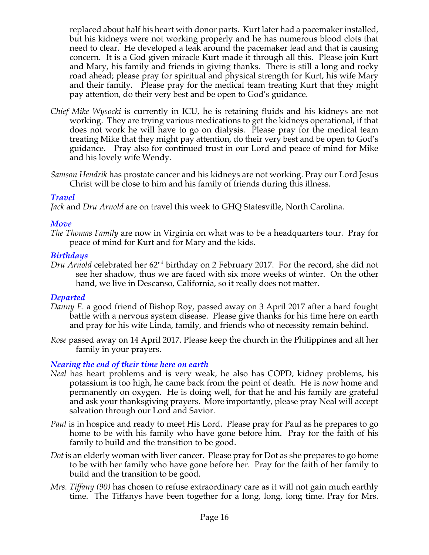replaced about half his heart with donor parts. Kurt later had a pacemaker installed, but his kidneys were not working properly and he has numerous blood clots that need to clear. He developed a leak around the pacemaker lead and that is causing concern. It is a God given miracle Kurt made it through all this. Please join Kurt and Mary, his family and friends in giving thanks. There is still a long and rocky road ahead; please pray for spiritual and physical strength for Kurt, his wife Mary and their family. Please pray for the medical team treating Kurt that they might pay attention, do their very best and be open to God's guidance.

- *Chief Mike Wysocki* is currently in ICU, he is retaining fluids and his kidneys are not working. They are trying various medications to get the kidneys operational, if that does not work he will have to go on dialysis. Please pray for the medical team treating Mike that they might pay attention, do their very best and be open to God's guidance. Pray also for continued trust in our Lord and peace of mind for Mike and his lovely wife Wendy.
- *Samson Hendrik* has prostate cancer and his kidneys are not working. Pray our Lord Jesus Christ will be close to him and his family of friends during this illness.

### *Travel*

*Jack* and *Dru Arnold* are on travel this week to GHQ Statesville, North Carolina.

### *Move*

*The Thomas Family* are now in Virginia on what was to be a headquarters tour. Pray for peace of mind for Kurt and for Mary and the kids.

#### *Birthdays*

*Dru Arnold* celebrated her 62<sup>nd</sup> birthday on 2 February 2017. For the record, she did not see her shadow, thus we are faced with six more weeks of winter. On the other hand, we live in Descanso, California, so it really does not matter.

### *Departed*

- *Danny E.* a good friend of Bishop Roy, passed away on 3 April 2017 after a hard fought battle with a nervous system disease. Please give thanks for his time here on earth and pray for his wife Linda, family, and friends who of necessity remain behind.
- *Rose* passed away on 14 April 2017. Please keep the church in the Philippines and all her family in your prayers.

### *Nearing the end of their time here on earth*

- *Neal* has heart problems and is very weak, he also has COPD, kidney problems, his potassium is too high, he came back from the point of death. He is now home and permanently on oxygen. He is doing well, for that he and his family are grateful and ask your thanksgiving prayers. More importantly, please pray Neal will accept salvation through our Lord and Savior.
- *Paul* is in hospice and ready to meet His Lord. Please pray for Paul as he prepares to go home to be with his family who have gone before him. Pray for the faith of his family to build and the transition to be good.
- *Dot* is an elderly woman with liver cancer. Please pray for Dot as she prepares to go home to be with her family who have gone before her. Pray for the faith of her family to build and the transition to be good.
- *Mrs. Tiffany (90)* has chosen to refuse extraordinary care as it will not gain much earthly time. The Tiffanys have been together for a long, long, long time. Pray for Mrs.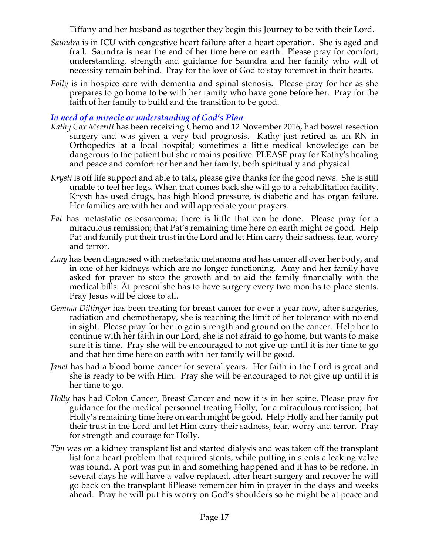Tiffany and her husband as together they begin this Journey to be with their Lord.

- *Saundra* is in ICU with congestive heart failure after a heart operation. She is aged and frail. Saundra is near the end of her time here on earth. Please pray for comfort, understanding, strength and guidance for Saundra and her family who will of necessity remain behind. Pray for the love of God to stay foremost in their hearts.
- *Polly* is in hospice care with dementia and spinal stenosis. Please pray for her as she prepares to go home to be with her family who have gone before her. Pray for the faith of her family to build and the transition to be good.

# *In need of a miracle or understanding of God's Plan*

- *Kathy Cox Merritt* has been receiving Chemo and 12 November 2016, had bowel resection surgery and was given a very bad prognosis. Kathy just retired as an RN in Orthopedics at a local hospital; sometimes a little medical knowledge can be dangerous to the patient but she remains positive. PLEASE pray for Kathy's healing and peace and comfort for her and her family, both spiritually and physical
- *Krysti* is off life support and able to talk, please give thanks for the good news. She is still unable to feel her legs. When that comes back she will go to a rehabilitation facility. Krysti has used drugs, has high blood pressure, is diabetic and has organ failure. Her families are with her and will appreciate your prayers.
- *Pat* has metastatic osteosarcoma; there is little that can be done. Please pray for a miraculous remission; that Pat's remaining time here on earth might be good. Help Pat and family put their trust in the Lord and let Him carry their sadness, fear, worry and terror.
- *Amy* has been diagnosed with metastatic melanoma and has cancer all over her body, and in one of her kidneys which are no longer functioning. Amy and her family have asked for prayer to stop the growth and to aid the family financially with the medical bills. At present she has to have surgery every two months to place stents. Pray Jesus will be close to all.
- *Gemma Dillinger* has been treating for breast cancer for over a year now, after surgeries, radiation and chemotherapy, she is reaching the limit of her tolerance with no end in sight. Please pray for her to gain strength and ground on the cancer. Help her to continue with her faith in our Lord, she is not afraid to go home, but wants to make sure it is time. Pray she will be encouraged to not give up until it is her time to go and that her time here on earth with her family will be good.
- *Janet* has had a blood borne cancer for several years. Her faith in the Lord is great and she is ready to be with Him. Pray she will be encouraged to not give up until it is her time to go.
- *Holly* has had Colon Cancer, Breast Cancer and now it is in her spine. Please pray for guidance for the medical personnel treating Holly, for a miraculous remission; that Holly's remaining time here on earth might be good. Help Holly and her family put their trust in the Lord and let Him carry their sadness, fear, worry and terror. Pray for strength and courage for Holly.
- *Tim* was on a kidney transplant list and started dialysis and was taken off the transplant list for a heart problem that required stents, while putting in stents a leaking valve was found. A port was put in and something happened and it has to be redone. In several days he will have a valve replaced, after heart surgery and recover he will go back on the transplant liPlease remember him in prayer in the days and weeks ahead. Pray he will put his worry on God's shoulders so he might be at peace and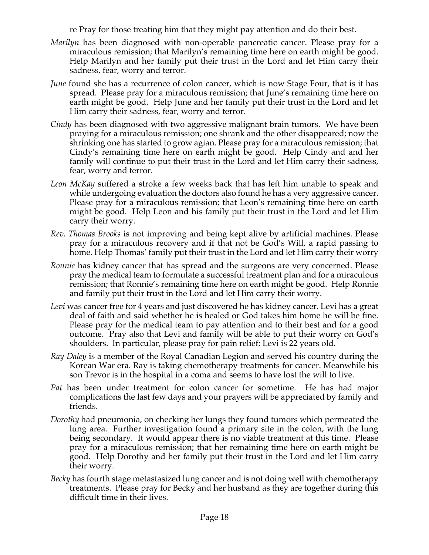re Pray for those treating him that they might pay attention and do their best.

- *Marilyn* has been diagnosed with non-operable pancreatic cancer. Please pray for a miraculous remission; that Marilyn's remaining time here on earth might be good. Help Marilyn and her family put their trust in the Lord and let Him carry their sadness, fear, worry and terror.
- *June* found she has a recurrence of colon cancer, which is now Stage Four, that is it has spread. Please pray for a miraculous remission; that June's remaining time here on earth might be good. Help June and her family put their trust in the Lord and let Him carry their sadness, fear, worry and terror.
- *Cindy* has been diagnosed with two aggressive malignant brain tumors. We have been praying for a miraculous remission; one shrank and the other disappeared; now the shrinking one has started to grow agian. Please pray for a miraculous remission; that Cindy's remaining time here on earth might be good. Help Cindy and and her family will continue to put their trust in the Lord and let Him carry their sadness, fear, worry and terror.
- *Leon McKay* suffered a stroke a few weeks back that has left him unable to speak and while undergoing evaluation the doctors also found he has a very aggressive cancer. Please pray for a miraculous remission; that Leon's remaining time here on earth might be good. Help Leon and his family put their trust in the Lord and let Him carry their worry.
- *Rev. Thomas Brooks* is not improving and being kept alive by artificial machines. Please pray for a miraculous recovery and if that not be God's Will, a rapid passing to home. Help Thomas' family put their trust in the Lord and let Him carry their worry
- *Ronnie* has kidney cancer that has spread and the surgeons are very concerned. Please pray the medical team to formulate a successful treatment plan and for a miraculous remission; that Ronnie's remaining time here on earth might be good. Help Ronnie and family put their trust in the Lord and let Him carry their worry.
- *Levi* was cancer free for 4 years and just discovered he has kidney cancer. Levi has a great deal of faith and said whether he is healed or God takes him home he will be fine. Please pray for the medical team to pay attention and to their best and for a good outcome. Pray also that Levi and family will be able to put their worry on God's shoulders. In particular, please pray for pain relief; Levi is 22 years old.
- *Ray Daley* is a member of the Royal Canadian Legion and served his country during the Korean War era. Ray is taking chemotherapy treatments for cancer. Meanwhile his son Trevor is in the hospital in a coma and seems to have lost the will to live.
- *Pat* has been under treatment for colon cancer for sometime. He has had major complications the last few days and your prayers will be appreciated by family and friends.
- *Dorothy* had pneumonia, on checking her lungs they found tumors which permeated the lung area. Further investigation found a primary site in the colon, with the lung being secondary. It would appear there is no viable treatment at this time. Please pray for a miraculous remission; that her remaining time here on earth might be good. Help Dorothy and her family put their trust in the Lord and let Him carry their worry.
- *Becky* has fourth stage metastasized lung cancer and is not doing well with chemotherapy treatments. Please pray for Becky and her husband as they are together during this difficult time in their lives.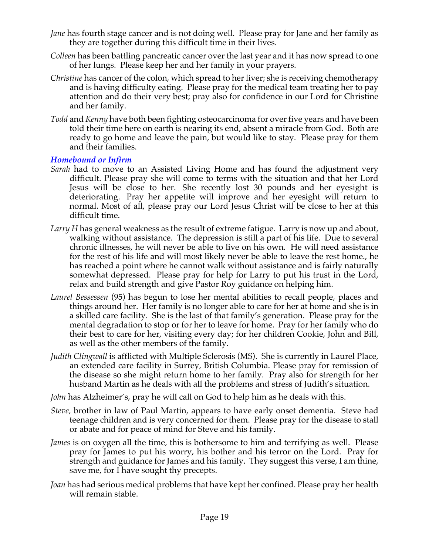- *Jane* has fourth stage cancer and is not doing well. Please pray for Jane and her family as they are together during this difficult time in their lives.
- *Colleen* has been battling pancreatic cancer over the last year and it has now spread to one of her lungs. Please keep her and her family in your prayers.
- *Christine* has cancer of the colon, which spread to her liver; she is receiving chemotherapy and is having difficulty eating. Please pray for the medical team treating her to pay attention and do their very best; pray also for confidence in our Lord for Christine and her family.
- *Todd* and *Kenny* have both been fighting osteocarcinoma for over five years and have been told their time here on earth is nearing its end, absent a miracle from God. Both are ready to go home and leave the pain, but would like to stay. Please pray for them and their families.

## *Homebound or Infirm*

- *Sarah* had to move to an Assisted Living Home and has found the adjustment very difficult. Please pray she will come to terms with the situation and that her Lord Jesus will be close to her. She recently lost 30 pounds and her eyesight is deteriorating. Pray her appetite will improve and her eyesight will return to normal. Most of all, please pray our Lord Jesus Christ will be close to her at this difficult time.
- *Larry H* has general weakness as the result of extreme fatigue. Larry is now up and about, walking without assistance. The depression is still a part of his life. Due to several chronic illnesses, he will never be able to live on his own. He will need assistance for the rest of his life and will most likely never be able to leave the rest home., he has reached a point where he cannot walk without assistance and is fairly naturally somewhat depressed. Please pray for help for Larry to put his trust in the Lord, relax and build strength and give Pastor Roy guidance on helping him.
- *Laurel Bessessen* (95) has begun to lose her mental abilities to recall people, places and things around her. Her family is no longer able to care for her at home and she is in a skilled care facility. She is the last of that family's generation. Please pray for the mental degradation to stop or for her to leave for home. Pray for her family who do their best to care for her, visiting every day; for her children Cookie, John and Bill, as well as the other members of the family.
- *Judith Clingwall* is afflicted with Multiple Sclerosis (MS). She is currently in Laurel Place, an extended care facility in Surrey, British Columbia. Please pray for remission of the disease so she might return home to her family. Pray also for strength for her husband Martin as he deals with all the problems and stress of Judith's situation.
- *John* has Alzheimer's, pray he will call on God to help him as he deals with this.
- *Steve,* brother in law of Paul Martin, appears to have early onset dementia. Steve had teenage children and is very concerned for them. Please pray for the disease to stall or abate and for peace of mind for Steve and his family.
- *James* is on oxygen all the time, this is bothersome to him and terrifying as well. Please pray for James to put his worry, his bother and his terror on the Lord. Pray for strength and guidance for James and his family. They suggest this verse, I am thine, save me, for I have sought thy precepts.
- *Joan* has had serious medical problems that have kept her confined. Please pray her health will remain stable.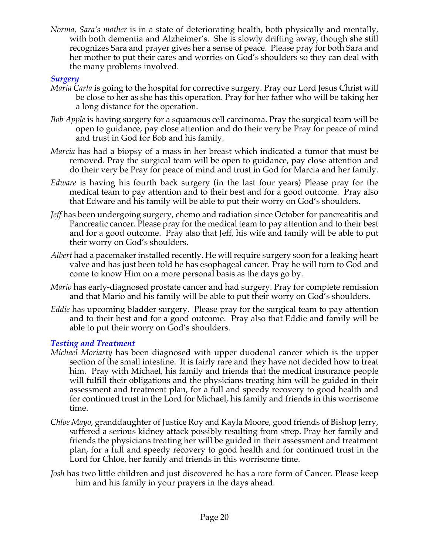*Norma, Sara's mother* is in a state of deteriorating health, both physically and mentally, with both dementia and Alzheimer's. She is slowly drifting away, though she still recognizes Sara and prayer gives her a sense of peace. Please pray for both Sara and her mother to put their cares and worries on God's shoulders so they can deal with the many problems involved.

### *Surgery*

- *Maria Carla* is going to the hospital for corrective surgery. Pray our Lord Jesus Christ will be close to her as she has this operation. Pray for her father who will be taking her a long distance for the operation.
- *Bob Apple* is having surgery for a squamous cell carcinoma. Pray the surgical team will be open to guidance, pay close attention and do their very be Pray for peace of mind and trust in God for Bob and his family.
- *Marcia* has had a biopsy of a mass in her breast which indicated a tumor that must be removed. Pray the surgical team will be open to guidance, pay close attention and do their very be Pray for peace of mind and trust in God for Marcia and her family.
- *Edware* is having his fourth back surgery (in the last four years) Please pray for the medical team to pay attention and to their best and for a good outcome. Pray also that Edware and his family will be able to put their worry on God's shoulders.
- *Jeff* has been undergoing surgery, chemo and radiation since October for pancreatitis and Pancreatic cancer. Please pray for the medical team to pay attention and to their best and for a good outcome. Pray also that Jeff, his wife and family will be able to put their worry on God's shoulders.
- *Albert* had a pacemaker installed recently. He will require surgery soon for a leaking heart valve and has just been told he has esophageal cancer. Pray he will turn to God and come to know Him on a more personal basis as the days go by.
- *Mario* has early-diagnosed prostate cancer and had surgery. Pray for complete remission and that Mario and his family will be able to put their worry on God's shoulders.
- *Eddie* has upcoming bladder surgery. Please pray for the surgical team to pay attention and to their best and for a good outcome. Pray also that Eddie and family will be able to put their worry on God's shoulders.

### *Testing and Treatment*

- *Michael Moriarty* has been diagnosed with upper duodenal cancer which is the upper section of the small intestine. It is fairly rare and they have not decided how to treat him. Pray with Michael, his family and friends that the medical insurance people will fulfill their obligations and the physicians treating him will be guided in their assessment and treatment plan, for a full and speedy recovery to good health and for continued trust in the Lord for Michael, his family and friends in this worrisome time.
- *Chloe Mayo*, granddaughter of Justice Roy and Kayla Moore, good friends of Bishop Jerry, suffered a serious kidney attack possibly resulting from strep. Pray her family and friends the physicians treating her will be guided in their assessment and treatment plan, for a full and speedy recovery to good health and for continued trust in the Lord for Chloe, her family and friends in this worrisome time.
- *Josh* has two little children and just discovered he has a rare form of Cancer. Please keep him and his family in your prayers in the days ahead.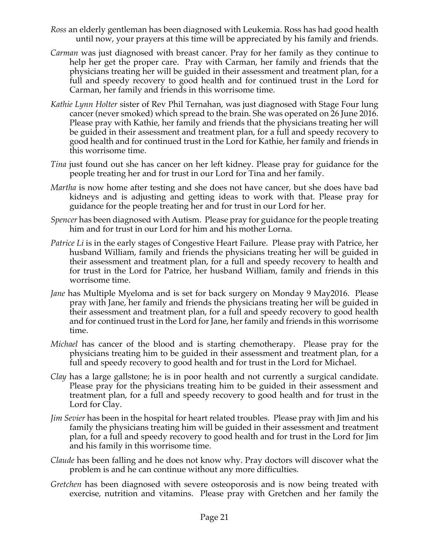- *Ross* an elderly gentleman has been diagnosed with Leukemia. Ross has had good health until now, your prayers at this time will be appreciated by his family and friends.
- *Carman* was just diagnosed with breast cancer. Pray for her family as they continue to help her get the proper care. Pray with Carman, her family and friends that the physicians treating her will be guided in their assessment and treatment plan, for a full and speedy recovery to good health and for continued trust in the Lord for Carman, her family and friends in this worrisome time.
- *Kathie Lynn Holter* sister of Rev Phil Ternahan, was just diagnosed with Stage Four lung cancer (never smoked) which spread to the brain. She was operated on 26 June 2016. Please pray with Kathie, her family and friends that the physicians treating her will be guided in their assessment and treatment plan, for a full and speedy recovery to good health and for continued trust in the Lord for Kathie, her family and friends in this worrisome time.
- *Tina* just found out she has cancer on her left kidney. Please pray for guidance for the people treating her and for trust in our Lord for Tina and her family.
- *Martha* is now home after testing and she does not have cancer, but she does have bad kidneys and is adjusting and getting ideas to work with that. Please pray for guidance for the people treating her and for trust in our Lord for her.
- *Spencer* has been diagnosed with Autism. Please pray for guidance for the people treating him and for trust in our Lord for him and his mother Lorna.
- *Patrice Li* is in the early stages of Congestive Heart Failure. Please pray with Patrice, her husband William, family and friends the physicians treating her will be guided in their assessment and treatment plan, for a full and speedy recovery to health and for trust in the Lord for Patrice, her husband William, family and friends in this worrisome time.
- *Jane* has Multiple Myeloma and is set for back surgery on Monday 9 May2016. Please pray with Jane, her family and friends the physicians treating her will be guided in their assessment and treatment plan, for a full and speedy recovery to good health and for continued trust in the Lord for Jane, her family and friends in this worrisome time.
- *Michael* has cancer of the blood and is starting chemotherapy. Please pray for the physicians treating him to be guided in their assessment and treatment plan, for a full and speedy recovery to good health and for trust in the Lord for Michael.
- *Clay* has a large gallstone; he is in poor health and not currently a surgical candidate. Please pray for the physicians treating him to be guided in their assessment and treatment plan, for a full and speedy recovery to good health and for trust in the Lord for Clay.
- *Jim Sevier* has been in the hospital for heart related troubles. Please pray with Jim and his family the physicians treating him will be guided in their assessment and treatment plan, for a full and speedy recovery to good health and for trust in the Lord for Jim and his family in this worrisome time.
- *Claude* has been falling and he does not know why. Pray doctors will discover what the problem is and he can continue without any more difficulties.
- *Gretchen* has been diagnosed with severe osteoporosis and is now being treated with exercise, nutrition and vitamins. Please pray with Gretchen and her family the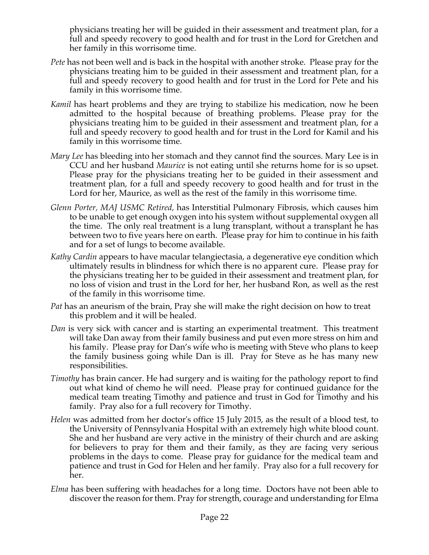physicians treating her will be guided in their assessment and treatment plan, for a full and speedy recovery to good health and for trust in the Lord for Gretchen and her family in this worrisome time.

- *Pete* has not been well and is back in the hospital with another stroke. Please pray for the physicians treating him to be guided in their assessment and treatment plan, for a full and speedy recovery to good health and for trust in the Lord for Pete and his family in this worrisome time.
- *Kamil* has heart problems and they are trying to stabilize his medication, now he been admitted to the hospital because of breathing problems. Please pray for the physicians treating him to be guided in their assessment and treatment plan, for a full and speedy recovery to good health and for trust in the Lord for Kamil and his family in this worrisome time.
- *Mary Lee* has bleeding into her stomach and they cannot find the sources. Mary Lee is in CCU and her husband *Maurice* is not eating until she returns home for is so upset. Please pray for the physicians treating her to be guided in their assessment and treatment plan, for a full and speedy recovery to good health and for trust in the Lord for her, Maurice, as well as the rest of the family in this worrisome time.
- *Glenn Porter, MAJ USMC Retired,* has Interstitial Pulmonary Fibrosis, which causes him to be unable to get enough oxygen into his system without supplemental oxygen all the time. The only real treatment is a lung transplant, without a transplant he has between two to five years here on earth. Please pray for him to continue in his faith and for a set of lungs to become available.
- *Kathy Cardin* appears to have macular telangiectasia, a degenerative eye condition which ultimately results in blindness for which there is no apparent cure. Please pray for the physicians treating her to be guided in their assessment and treatment plan, for no loss of vision and trust in the Lord for her, her husband Ron, as well as the rest of the family in this worrisome time.
- *Pat* has an aneurism of the brain, Pray she will make the right decision on how to treat this problem and it will be healed.
- *Dan* is very sick with cancer and is starting an experimental treatment. This treatment will take Dan away from their family business and put even more stress on him and his family. Please pray for Dan's wife who is meeting with Steve who plans to keep the family business going while Dan is ill. Pray for Steve as he has many new responsibilities.
- *Timothy* has brain cancer. He had surgery and is waiting for the pathology report to find out what kind of chemo he will need. Please pray for continued guidance for the medical team treating Timothy and patience and trust in God for Timothy and his family. Pray also for a full recovery for Timothy.
- *Helen* was admitted from her doctor's office 15 July 2015, as the result of a blood test, to the University of Pennsylvania Hospital with an extremely high white blood count. She and her husband are very active in the ministry of their church and are asking for believers to pray for them and their family, as they are facing very serious problems in the days to come. Please pray for guidance for the medical team and patience and trust in God for Helen and her family. Pray also for a full recovery for her.
- *Elma* has been suffering with headaches for a long time. Doctors have not been able to discover the reason for them. Pray for strength, courage and understanding for Elma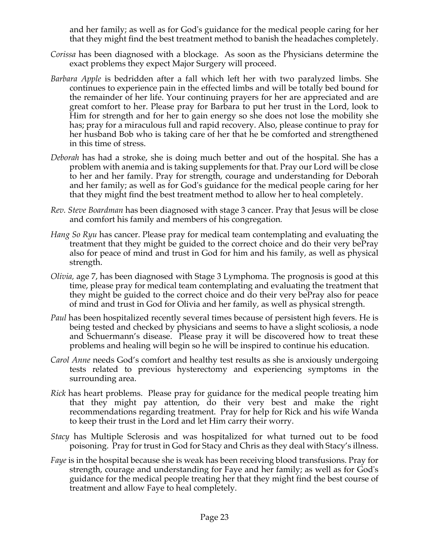and her family; as well as for God's guidance for the medical people caring for her that they might find the best treatment method to banish the headaches completely.

- *Corissa* has been diagnosed with a blockage. As soon as the Physicians determine the exact problems they expect Major Surgery will proceed.
- *Barbara Apple* is bedridden after a fall which left her with two paralyzed limbs. She continues to experience pain in the effected limbs and will be totally bed bound for the remainder of her life. Your continuing prayers for her are appreciated and are great comfort to her. Please pray for Barbara to put her trust in the Lord, look to Him for strength and for her to gain energy so she does not lose the mobility she has; pray for a miraculous full and rapid recovery. Also, please continue to pray for her husband Bob who is taking care of her that he be comforted and strengthened in this time of stress.
- *Deborah* has had a stroke, she is doing much better and out of the hospital. She has a problem with anemia and is taking supplements for that. Pray our Lord will be close to her and her family. Pray for strength, courage and understanding for Deborah and her family; as well as for God's guidance for the medical people caring for her that they might find the best treatment method to allow her to heal completely.
- *Rev. Steve Boardman* has been diagnosed with stage 3 cancer. Pray that Jesus will be close and comfort his family and members of his congregation*.*
- *Hang So Ryu* has cancer. Please pray for medical team contemplating and evaluating the treatment that they might be guided to the correct choice and do their very bePray also for peace of mind and trust in God for him and his family, as well as physical strength.
- *Olivia,* age 7, has been diagnosed with Stage 3 Lymphoma. The prognosis is good at this time, please pray for medical team contemplating and evaluating the treatment that they might be guided to the correct choice and do their very bePray also for peace of mind and trust in God for Olivia and her family, as well as physical strength.
- *Paul* has been hospitalized recently several times because of persistent high fevers. He is being tested and checked by physicians and seems to have a slight scoliosis, a node and Schuermann's disease. Please pray it will be discovered how to treat these problems and healing will begin so he will be inspired to continue his education.
- *Carol Anne* needs God's comfort and healthy test results as she is anxiously undergoing tests related to previous hysterectomy and experiencing symptoms in the surrounding area.
- *Rick* has heart problems. Please pray for guidance for the medical people treating him that they might pay attention, do their very best and make the right recommendations regarding treatment. Pray for help for Rick and his wife Wanda to keep their trust in the Lord and let Him carry their worry.
- *Stacy* has Multiple Sclerosis and was hospitalized for what turned out to be food poisoning. Pray for trust in God for Stacy and Chris as they deal with Stacy's illness.
- *Faye* is in the hospital because she is weak has been receiving blood transfusions. Pray for strength, courage and understanding for Faye and her family; as well as for God's guidance for the medical people treating her that they might find the best course of treatment and allow Faye to heal completely.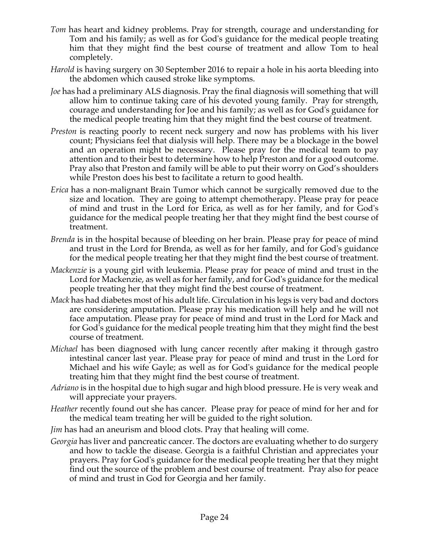- *Tom* has heart and kidney problems. Pray for strength, courage and understanding for Tom and his family; as well as for God's guidance for the medical people treating him that they might find the best course of treatment and allow Tom to heal completely.
- *Harold* is having surgery on 30 September 2016 to repair a hole in his aorta bleeding into the abdomen which caused stroke like symptoms.
- *Joe* has had a preliminary ALS diagnosis. Pray the final diagnosis will something that will allow him to continue taking care of his devoted young family. Pray for strength, courage and understanding for Joe and his family; as well as for God's guidance for the medical people treating him that they might find the best course of treatment.
- *Preston* is reacting poorly to recent neck surgery and now has problems with his liver count; Physicians feel that dialysis will help. There may be a blockage in the bowel and an operation might be necessary. Please pray for the medical team to pay attention and to their best to determine how to help Preston and for a good outcome. Pray also that Preston and family will be able to put their worry on God's shoulders while Preston does his best to facilitate a return to good health.
- *Erica* has a non-malignant Brain Tumor which cannot be surgically removed due to the size and location. They are going to attempt chemotherapy. Please pray for peace of mind and trust in the Lord for Erica, as well as for her family, and for God's guidance for the medical people treating her that they might find the best course of treatment.
- *Brenda* is in the hospital because of bleeding on her brain. Please pray for peace of mind and trust in the Lord for Brenda, as well as for her family, and for God's guidance for the medical people treating her that they might find the best course of treatment.
- *Mackenzie* is a young girl with leukemia. Please pray for peace of mind and trust in the Lord for Mackenzie, as well as for her family, and for God's guidance for the medical people treating her that they might find the best course of treatment.
- *Mack* has had diabetes most of his adult life. Circulation in his legs is very bad and doctors are considering amputation. Please pray his medication will help and he will not face amputation. Please pray for peace of mind and trust in the Lord for Mack and for God's guidance for the medical people treating him that they might find the best course of treatment.
- *Michael* has been diagnosed with lung cancer recently after making it through gastro intestinal cancer last year. Please pray for peace of mind and trust in the Lord for Michael and his wife Gayle; as well as for God's guidance for the medical people treating him that they might find the best course of treatment.
- *Adriano* is in the hospital due to high sugar and high blood pressure. He is very weak and will appreciate your prayers.
- *Heather* recently found out she has cancer. Please pray for peace of mind for her and for the medical team treating her will be guided to the right solution.
- *Jim* has had an aneurism and blood clots. Pray that healing will come.
- *Georgia* has liver and pancreatic cancer. The doctors are evaluating whether to do surgery and how to tackle the disease. Georgia is a faithful Christian and appreciates your prayers. Pray for God's guidance for the medical people treating her that they might find out the source of the problem and best course of treatment. Pray also for peace of mind and trust in God for Georgia and her family.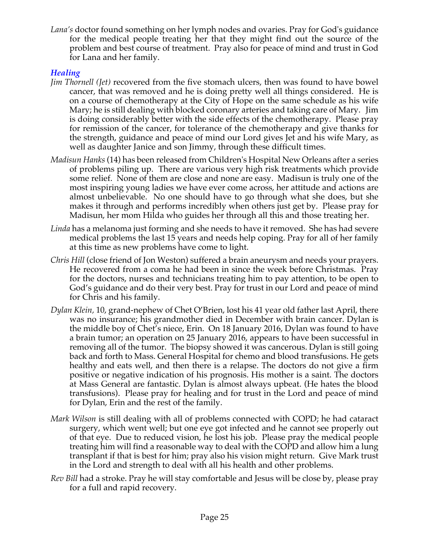*Lana's* doctor found something on her lymph nodes and ovaries. Pray for God's guidance for the medical people treating her that they might find out the source of the problem and best course of treatment. Pray also for peace of mind and trust in God for Lana and her family.

# *Healing*

- *Jim Thornell (Jet)* recovered from the five stomach ulcers, then was found to have bowel cancer, that was removed and he is doing pretty well all things considered. He is on a course of chemotherapy at the City of Hope on the same schedule as his wife Mary; he is still dealing with blocked coronary arteries and taking care of Mary. Jim is doing considerably better with the side effects of the chemotherapy. Please pray for remission of the cancer, for tolerance of the chemotherapy and give thanks for the strength, guidance and peace of mind our Lord gives Jet and his wife Mary, as well as daughter Janice and son Jimmy, through these difficult times.
- *Madisun Hanks* (14) has been released from Children's Hospital New Orleans after a series of problems piling up. There are various very high risk treatments which provide some relief. None of them are close and none are easy. Madisun is truly one of the most inspiring young ladies we have ever come across, her attitude and actions are almost unbelievable. No one should have to go through what she does, but she makes it through and performs incredibly when others just get by. Please pray for Madisun, her mom Hilda who guides her through all this and those treating her.
- *Linda* has a melanoma just forming and she needs to have it removed. She has had severe medical problems the last 15 years and needs help coping. Pray for all of her family at this time as new problems have come to light.
- *Chris Hill* (close friend of Jon Weston) suffered a brain aneurysm and needs your prayers. He recovered from a coma he had been in since the week before Christmas. Pray for the doctors, nurses and technicians treating him to pay attention, to be open to God's guidance and do their very best. Pray for trust in our Lord and peace of mind for Chris and his family.
- *Dylan Klein,* 10, grand-nephew of Chet O'Brien, lost his 41 year old father last April, there was no insurance; his grandmother died in December with brain cancer. Dylan is the middle boy of Chet's niece, Erin. On 18 January 2016, Dylan was found to have a brain tumor; an operation on 25 January 2016, appears to have been successful in removing all of the tumor. The biopsy showed it was cancerous. Dylan is still going back and forth to Mass. General Hospital for chemo and blood transfusions. He gets healthy and eats well, and then there is a relapse. The doctors do not give a firm positive or negative indication of his prognosis. His mother is a saint. The doctors at Mass General are fantastic. Dylan is almost always upbeat. (He hates the blood transfusions). Please pray for healing and for trust in the Lord and peace of mind for Dylan, Erin and the rest of the family.
- *Mark Wilson* is still dealing with all of problems connected with COPD; he had cataract surgery, which went well; but one eye got infected and he cannot see properly out of that eye. Due to reduced vision, he lost his job. Please pray the medical people treating him will find a reasonable way to deal with the COPD and allow him a lung transplant if that is best for him; pray also his vision might return. Give Mark trust in the Lord and strength to deal with all his health and other problems.
- *Rev Bill* had a stroke. Pray he will stay comfortable and Jesus will be close by, please pray for a full and rapid recovery.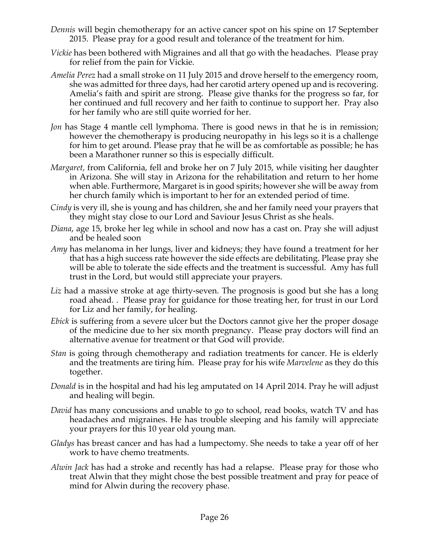- *Dennis* will begin chemotherapy for an active cancer spot on his spine on 17 September 2015. Please pray for a good result and tolerance of the treatment for him.
- *Vickie* has been bothered with Migraines and all that go with the headaches. Please pray for relief from the pain for Vickie.
- *Amelia Perez* had a small stroke on 11 July 2015 and drove herself to the emergency room, she was admitted for three days, had her carotid artery opened up and is recovering. Amelia's faith and spirit are strong. Please give thanks for the progress so far, for her continued and full recovery and her faith to continue to support her. Pray also for her family who are still quite worried for her.
- *Jon* has Stage 4 mantle cell lymphoma. There is good news in that he is in remission; however the chemotherapy is producing neuropathy in his legs so it is a challenge for him to get around. Please pray that he will be as comfortable as possible; he has been a Marathoner runner so this is especially difficult.
- *Margaret,* from California, fell and broke her on 7 July 2015, while visiting her daughter in Arizona. She will stay in Arizona for the rehabilitation and return to her home when able. Furthermore, Margaret is in good spirits; however she will be away from her church family which is important to her for an extended period of time.
- *Cindy* is very ill, she is young and has children, she and her family need your prayers that they might stay close to our Lord and Saviour Jesus Christ as she heals.
- *Diana*, age 15, broke her leg while in school and now has a cast on. Pray she will adjust and be healed soon
- *Amy* has melanoma in her lungs, liver and kidneys; they have found a treatment for her that has a high success rate however the side effects are debilitating. Please pray she will be able to tolerate the side effects and the treatment is successful. Amy has full trust in the Lord, but would still appreciate your prayers.
- Liz had a massive stroke at age thirty-seven. The prognosis is good but she has a long road ahead. . Please pray for guidance for those treating her, for trust in our Lord for Liz and her family, for healing.
- *Ebick* is suffering from a severe ulcer but the Doctors cannot give her the proper dosage of the medicine due to her six month pregnancy. Please pray doctors will find an alternative avenue for treatment or that God will provide.
- *Stan* is going through chemotherapy and radiation treatments for cancer. He is elderly and the treatments are tiring him. Please pray for his wife *Marvelene* as they do this together.
- *Donald* is in the hospital and had his leg amputated on 14 April 2014. Pray he will adjust and healing will begin.
- *David* has many concussions and unable to go to school, read books, watch TV and has headaches and migraines. He has trouble sleeping and his family will appreciate your prayers for this 10 year old young man.
- *Gladys* has breast cancer and has had a lumpectomy. She needs to take a year off of her work to have chemo treatments.
- *Alwin Jack* has had a stroke and recently has had a relapse. Please pray for those who treat Alwin that they might chose the best possible treatment and pray for peace of mind for Alwin during the recovery phase.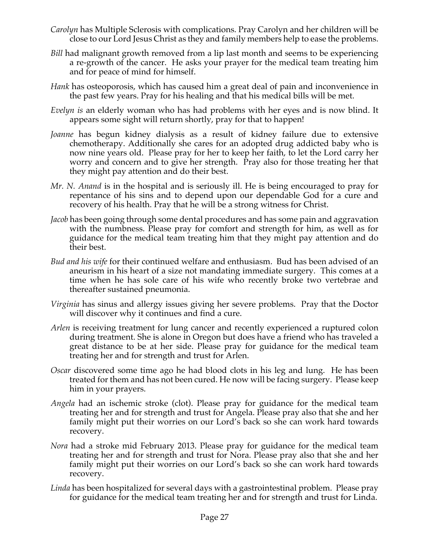- *Carolyn* has Multiple Sclerosis with complications. Pray Carolyn and her children will be close to our Lord Jesus Christ as they and family members help to ease the problems.
- *Bill* had malignant growth removed from a lip last month and seems to be experiencing a re-growth of the cancer. He asks your prayer for the medical team treating him and for peace of mind for himself.
- *Hank* has osteoporosis, which has caused him a great deal of pain and inconvenience in the past few years. Pray for his healing and that his medical bills will be met.
- *Evelyn is* an elderly woman who has had problems with her eyes and is now blind. It appears some sight will return shortly, pray for that to happen!
- *Joanne* has begun kidney dialysis as a result of kidney failure due to extensive chemotherapy. Additionally she cares for an adopted drug addicted baby who is now nine years old. Please pray for her to keep her faith, to let the Lord carry her worry and concern and to give her strength. Pray also for those treating her that they might pay attention and do their best.
- *Mr. N. Anand* is in the hospital and is seriously ill. He is being encouraged to pray for repentance of his sins and to depend upon our dependable God for a cure and recovery of his health. Pray that he will be a strong witness for Christ.
- *Jacob* has been going through some dental procedures and has some pain and aggravation with the numbness. Please pray for comfort and strength for him, as well as for guidance for the medical team treating him that they might pay attention and do their best.
- *Bud and his wife* for their continued welfare and enthusiasm. Bud has been advised of an aneurism in his heart of a size not mandating immediate surgery. This comes at a time when he has sole care of his wife who recently broke two vertebrae and thereafter sustained pneumonia.
- *Virginia* has sinus and allergy issues giving her severe problems. Pray that the Doctor will discover why it continues and find a cure.
- *Arlen* is receiving treatment for lung cancer and recently experienced a ruptured colon during treatment. She is alone in Oregon but does have a friend who has traveled a great distance to be at her side. Please pray for guidance for the medical team treating her and for strength and trust for Arlen.
- *Oscar* discovered some time ago he had blood clots in his leg and lung. He has been treated for them and has not been cured. He now will be facing surgery. Please keep him in your prayers.
- *Angela* had an ischemic stroke (clot). Please pray for guidance for the medical team treating her and for strength and trust for Angela. Please pray also that she and her family might put their worries on our Lord's back so she can work hard towards recovery.
- *Nora* had a stroke mid February 2013. Please pray for guidance for the medical team treating her and for strength and trust for Nora. Please pray also that she and her family might put their worries on our Lord's back so she can work hard towards recovery.
- *Linda* has been hospitalized for several days with a gastrointestinal problem. Please pray for guidance for the medical team treating her and for strength and trust for Linda.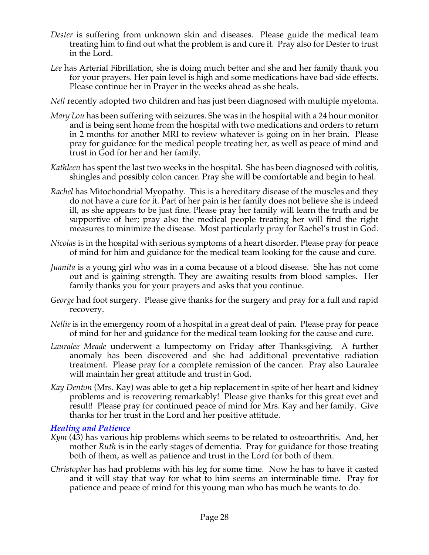- *Dester* is suffering from unknown skin and diseases. Please guide the medical team treating him to find out what the problem is and cure it. Pray also for Dester to trust in the Lord.
- *Lee* has Arterial Fibrillation, she is doing much better and she and her family thank you for your prayers. Her pain level is high and some medications have bad side effects. Please continue her in Prayer in the weeks ahead as she heals.
- *Nell* recently adopted two children and has just been diagnosed with multiple myeloma.
- *Mary Lou* has been suffering with seizures. She was in the hospital with a 24 hour monitor and is being sent home from the hospital with two medications and orders to return in 2 months for another MRI to review whatever is going on in her brain. Please pray for guidance for the medical people treating her, as well as peace of mind and trust in God for her and her family.
- *Kathleen* has spent the last two weeks in the hospital. She has been diagnosed with colitis, shingles and possibly colon cancer. Pray she will be comfortable and begin to heal.
- *Rachel* has Mitochondrial Myopathy. This is a hereditary disease of the muscles and they do not have a cure for it. Part of her pain is her family does not believe she is indeed ill, as she appears to be just fine. Please pray her family will learn the truth and be supportive of her; pray also the medical people treating her will find the right measures to minimize the disease. Most particularly pray for Rachel's trust in God.
- *Nicolas* is in the hospital with serious symptoms of a heart disorder. Please pray for peace of mind for him and guidance for the medical team looking for the cause and cure.
- *Juanita* is a young girl who was in a coma because of a blood disease. She has not come out and is gaining strength. They are awaiting results from blood samples. Her family thanks you for your prayers and asks that you continue.
- *George* had foot surgery. Please give thanks for the surgery and pray for a full and rapid recovery.
- *Nellie* is in the emergency room of a hospital in a great deal of pain. Please pray for peace of mind for her and guidance for the medical team looking for the cause and cure.
- *Lauralee Meade* underwent a lumpectomy on Friday after Thanksgiving. A further anomaly has been discovered and she had additional preventative radiation treatment. Please pray for a complete remission of the cancer. Pray also Lauralee will maintain her great attitude and trust in God.
- *Kay Denton* (Mrs. Kay) was able to get a hip replacement in spite of her heart and kidney problems and is recovering remarkably! Please give thanks for this great evet and result! Please pray for continued peace of mind for Mrs. Kay and her family. Give thanks for her trust in the Lord and her positive attitude.

### *Healing and Patience*

- *Kym* (43) has various hip problems which seems to be related to osteoarthritis. And, her mother *Ruth* is in the early stages of dementia. Pray for guidance for those treating both of them, as well as patience and trust in the Lord for both of them.
- *Christopher* has had problems with his leg for some time. Now he has to have it casted and it will stay that way for what to him seems an interminable time. Pray for patience and peace of mind for this young man who has much he wants to do.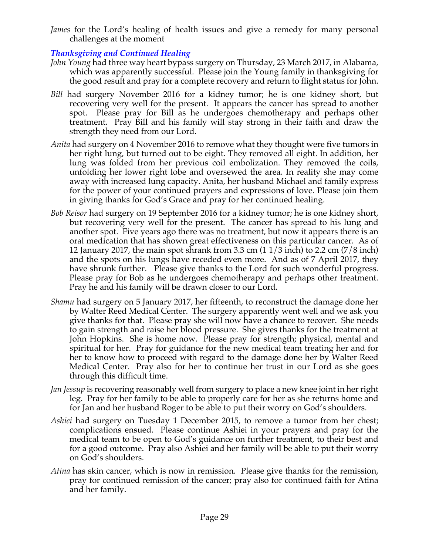*James* for the Lord's healing of health issues and give a remedy for many personal challenges at the moment

# *Thanksgiving and Continued Healing*

- *John Young* had three way heart bypass surgery on Thursday, 23 March 2017, in Alabama, which was apparently successful. Please join the Young family in thanksgiving for the good result and pray for a complete recovery and return to flight status for John.
- *Bill* had surgery November 2016 for a kidney tumor; he is one kidney short, but recovering very well for the present. It appears the cancer has spread to another spot. Please pray for Bill as he undergoes chemotherapy and perhaps other treatment. Pray Bill and his family will stay strong in their faith and draw the strength they need from our Lord.
- *Anita* had surgery on 4 November 2016 to remove what they thought were five tumors in her right lung, but turned out to be eight. They removed all eight. In addition, her lung was folded from her previous coil embolization. They removed the coils, unfolding her lower right lobe and oversewed the area. In reality she may come away with increased lung capacity. Anita, her husband Michael and family express for the power of your continued prayers and expressions of love. Please join them in giving thanks for God's Grace and pray for her continued healing.
- *Bob Reisor* had surgery on 19 September 2016 for a kidney tumor; he is one kidney short, but recovering very well for the present. The cancer has spread to his lung and another spot. Five years ago there was no treatment, but now it appears there is an oral medication that has shown great effectiveness on this particular cancer. As of 12 January 2017, the main spot shrank from 3.3 cm (1 1/3 inch) to 2.2 cm (7/8 inch) and the spots on his lungs have receded even more. And as of 7 April 2017, they have shrunk further. Please give thanks to the Lord for such wonderful progress. Please pray for Bob as he undergoes chemotherapy and perhaps other treatment. Pray he and his family will be drawn closer to our Lord.
- *Shamu* had surgery on 5 January 2017, her fifteenth, to reconstruct the damage done her by Walter Reed Medical Center. The surgery apparently went well and we ask you give thanks for that. Please pray she will now have a chance to recover. She needs to gain strength and raise her blood pressure. She gives thanks for the treatment at John Hopkins. She is home now. Please pray for strength; physical, mental and spiritual for her. Pray for guidance for the new medical team treating her and for her to know how to proceed with regard to the damage done her by Walter Reed Medical Center. Pray also for her to continue her trust in our Lord as she goes through this difficult time.
- *Jan Jessup* is recovering reasonably well from surgery to place a new knee joint in her right leg. Pray for her family to be able to properly care for her as she returns home and for Jan and her husband Roger to be able to put their worry on God's shoulders.
- *Ashiei* had surgery on Tuesday 1 December 2015, to remove a tumor from her chest; complications ensued. Please continue Ashiei in your prayers and pray for the medical team to be open to God's guidance on further treatment, to their best and for a good outcome. Pray also Ashiei and her family will be able to put their worry on God's shoulders.
- *Atina* has skin cancer, which is now in remission. Please give thanks for the remission, pray for continued remission of the cancer; pray also for continued faith for Atina and her family.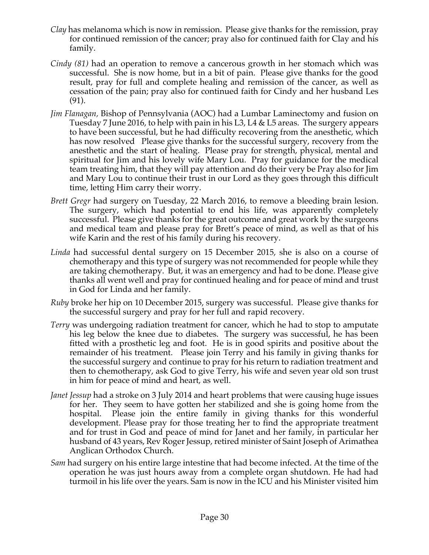- *Clay* has melanoma which is now in remission. Please give thanks for the remission, pray for continued remission of the cancer; pray also for continued faith for Clay and his family.
- *Cindy (81)* had an operation to remove a cancerous growth in her stomach which was successful. She is now home, but in a bit of pain. Please give thanks for the good result, pray for full and complete healing and remission of the cancer, as well as cessation of the pain; pray also for continued faith for Cindy and her husband Les (91).
- *Jim Flanagan,* Bishop of Pennsylvania (AOC) had a Lumbar Laminectomy and fusion on Tuesday 7 June 2016, to help with pain in his L3, L4 & L5 areas. The surgery appears to have been successful, but he had difficulty recovering from the anesthetic, which has now resolved Please give thanks for the successful surgery, recovery from the anesthetic and the start of healing. Please pray for strength, physical, mental and spiritual for Jim and his lovely wife Mary Lou. Pray for guidance for the medical team treating him, that they will pay attention and do their very be Pray also for Jim and Mary Lou to continue their trust in our Lord as they goes through this difficult time, letting Him carry their worry.
- *Brett Gregr* had surgery on Tuesday, 22 March 2016, to remove a bleeding brain lesion. The surgery, which had potential to end his life, was apparently completely successful. Please give thanks for the great outcome and great work by the surgeons and medical team and please pray for Brett's peace of mind, as well as that of his wife Karin and the rest of his family during his recovery.
- *Linda* had successful dental surgery on 15 December 2015, she is also on a course of chemotherapy and this type of surgery was not recommended for people while they are taking chemotherapy. But, it was an emergency and had to be done. Please give thanks all went well and pray for continued healing and for peace of mind and trust in God for Linda and her family.
- *Ruby* broke her hip on 10 December 2015, surgery was successful. Please give thanks for the successful surgery and pray for her full and rapid recovery.
- *Terry* was undergoing radiation treatment for cancer, which he had to stop to amputate his leg below the knee due to diabetes. The surgery was successful, he has been fitted with a prosthetic leg and foot. He is in good spirits and positive about the remainder of his treatment. Please join Terry and his family in giving thanks for the successful surgery and continue to pray for his return to radiation treatment and then to chemotherapy, ask God to give Terry, his wife and seven year old son trust in him for peace of mind and heart, as well.
- *Janet Jessup* had a stroke on 3 July 2014 and heart problems that were causing huge issues for her. They seem to have gotten her stabilized and she is going home from the hospital. Please join the entire family in giving thanks for this wonderful development. Please pray for those treating her to find the appropriate treatment and for trust in God and peace of mind for Janet and her family, in particular her husband of 43 years, Rev Roger Jessup, retired minister of Saint Joseph of Arimathea Anglican Orthodox Church.
- *Sam* had surgery on his entire large intestine that had become infected. At the time of the operation he was just hours away from a complete organ shutdown. He had had turmoil in his life over the years. Sam is now in the ICU and his Minister visited him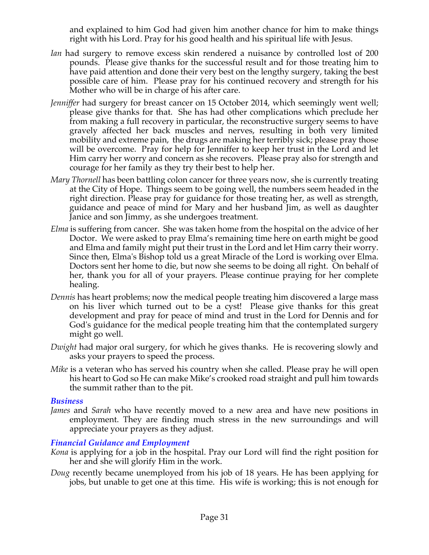and explained to him God had given him another chance for him to make things right with his Lord. Pray for his good health and his spiritual life with Jesus.

- *Ian* had surgery to remove excess skin rendered a nuisance by controlled lost of 200 pounds. Please give thanks for the successful result and for those treating him to have paid attention and done their very best on the lengthy surgery, taking the best possible care of him. Please pray for his continued recovery and strength for his Mother who will be in charge of his after care.
- *Jenniffer* had surgery for breast cancer on 15 October 2014, which seemingly went well; please give thanks for that. She has had other complications which preclude her from making a full recovery in particular, the reconstructive surgery seems to have gravely affected her back muscles and nerves, resulting in both very limited mobility and extreme pain, the drugs are making her terribly sick; please pray those will be overcome. Pray for help for Jenniffer to keep her trust in the Lord and let Him carry her worry and concern as she recovers. Please pray also for strength and courage for her family as they try their best to help her.
- *Mary Thornell* has been battling colon cancer for three years now, she is currently treating at the City of Hope. Things seem to be going well, the numbers seem headed in the right direction. Please pray for guidance for those treating her, as well as strength, guidance and peace of mind for Mary and her husband Jim, as well as daughter Janice and son Jimmy, as she undergoes treatment.
- *Elma* is suffering from cancer. She was taken home from the hospital on the advice of her Doctor. We were asked to pray Elma's remaining time here on earth might be good and Elma and family might put their trust in the Lord and let Him carry their worry. Since then, Elma's Bishop told us a great Miracle of the Lord is working over Elma. Doctors sent her home to die, but now she seems to be doing all right. On behalf of her, thank you for all of your prayers. Please continue praying for her complete healing.
- *Dennis* has heart problems; now the medical people treating him discovered a large mass on his liver which turned out to be a cyst! Please give thanks for this great development and pray for peace of mind and trust in the Lord for Dennis and for God's guidance for the medical people treating him that the contemplated surgery might go well.
- *Dwight* had major oral surgery, for which he gives thanks. He is recovering slowly and asks your prayers to speed the process.
- *Mike* is a veteran who has served his country when she called. Please pray he will open his heart to God so He can make Mike's crooked road straight and pull him towards the summit rather than to the pit.

### *Business*

*James* and *Sarah* who have recently moved to a new area and have new positions in employment. They are finding much stress in the new surroundings and will appreciate your prayers as they adjust.

## *Financial Guidance and Employment*

- *Kona* is applying for a job in the hospital. Pray our Lord will find the right position for her and she will glorify Him in the work.
- *Doug* recently became unemployed from his job of 18 years. He has been applying for jobs, but unable to get one at this time. His wife is working; this is not enough for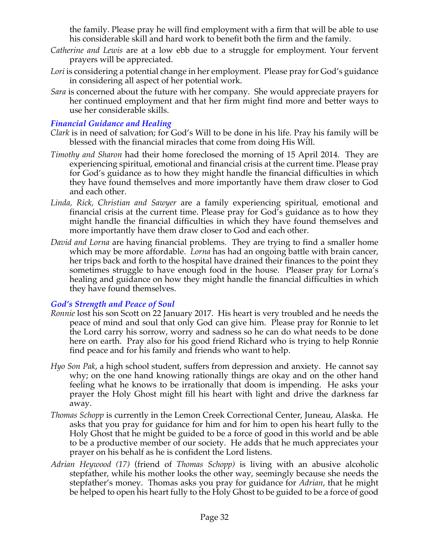the family. Please pray he will find employment with a firm that will be able to use his considerable skill and hard work to benefit both the firm and the family.

- *Catherine and Lewis* are at a low ebb due to a struggle for employment. Your fervent prayers will be appreciated.
- *Lori* is considering a potential change in her employment. Please pray for God's guidance in considering all aspect of her potential work.
- *Sara* is concerned about the future with her company. She would appreciate prayers for her continued employment and that her firm might find more and better ways to use her considerable skills.

### *Financial Guidance and Healing*

- *Clark* is in need of salvation; for God's Will to be done in his life. Pray his family will be blessed with the financial miracles that come from doing His Will.
- *Timothy and Sharon* had their home foreclosed the morning of 15 April 2014. They are experiencing spiritual, emotional and financial crisis at the current time. Please pray for God's guidance as to how they might handle the financial difficulties in which they have found themselves and more importantly have them draw closer to God and each other.
- *Linda, Rick, Christian and Sawyer* are a family experiencing spiritual, emotional and financial crisis at the current time. Please pray for God's guidance as to how they might handle the financial difficulties in which they have found themselves and more importantly have them draw closer to God and each other.
- *David and Lorna* are having financial problems. They are trying to find a smaller home which may be more affordable. *Lorna* has had an ongoing battle with brain cancer, her trips back and forth to the hospital have drained their finances to the point they sometimes struggle to have enough food in the house. Pleaser pray for Lorna's healing and guidance on how they might handle the financial difficulties in which they have found themselves.

### *God's Strength and Peace of Soul*

- *Ronnie* lost his son Scott on 22 January 2017. His heart is very troubled and he needs the peace of mind and soul that only God can give him. Please pray for Ronnie to let the Lord carry his sorrow, worry and sadness so he can do what needs to be done here on earth. Pray also for his good friend Richard who is trying to help Ronnie find peace and for his family and friends who want to help.
- *Hyo Son Pak*, a high school student, suffers from depression and anxiety. He cannot say why; on the one hand knowing rationally things are okay and on the other hand feeling what he knows to be irrationally that doom is impending. He asks your prayer the Holy Ghost might fill his heart with light and drive the darkness far away.
- *Thomas Schopp* is currently in the Lemon Creek Correctional Center, Juneau, Alaska. He asks that you pray for guidance for him and for him to open his heart fully to the Holy Ghost that he might be guided to be a force of good in this world and be able to be a productive member of our society. He adds that he much appreciates your prayer on his behalf as he is confident the Lord listens.
- *Adrian Heywood (17)* (friend of *Thomas Schopp)* is living with an abusive alcoholic stepfather, while his mother looks the other way, seemingly because she needs the stepfather's money. Thomas asks you pray for guidance for *Adrian*, that he might be helped to open his heart fully to the Holy Ghost to be guided to be a force of good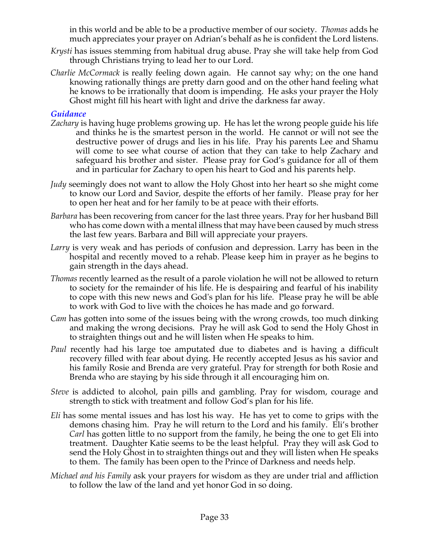in this world and be able to be a productive member of our society. *Thomas* adds he much appreciates your prayer on Adrian's behalf as he is confident the Lord listens.

- *Krysti* has issues stemming from habitual drug abuse. Pray she will take help from God through Christians trying to lead her to our Lord.
- *Charlie McCormack* is really feeling down again. He cannot say why; on the one hand knowing rationally things are pretty darn good and on the other hand feeling what he knows to be irrationally that doom is impending. He asks your prayer the Holy Ghost might fill his heart with light and drive the darkness far away.

### *Guidance*

- *Zachary* is having huge problems growing up. He has let the wrong people guide his life and thinks he is the smartest person in the world. He cannot or will not see the destructive power of drugs and lies in his life. Pray his parents Lee and Shamu will come to see what course of action that they can take to help Zachary and safeguard his brother and sister. Please pray for God's guidance for all of them and in particular for Zachary to open his heart to God and his parents help.
- *Judy* seemingly does not want to allow the Holy Ghost into her heart so she might come to know our Lord and Savior, despite the efforts of her family. Please pray for her to open her heat and for her family to be at peace with their efforts.
- *Barbara* has been recovering from cancer for the last three years. Pray for her husband Bill who has come down with a mental illness that may have been caused by much stress the last few years. Barbara and Bill will appreciate your prayers.
- *Larry* is very weak and has periods of confusion and depression. Larry has been in the hospital and recently moved to a rehab. Please keep him in prayer as he begins to gain strength in the days ahead.
- *Thomas* recently learned as the result of a parole violation he will not be allowed to return to society for the remainder of his life. He is despairing and fearful of his inability to cope with this new news and God's plan for his life. Please pray he will be able to work with God to live with the choices he has made and go forward.
- *Cam* has gotten into some of the issues being with the wrong crowds, too much dinking and making the wrong decisions. Pray he will ask God to send the Holy Ghost in to straighten things out and he will listen when He speaks to him.
- *Paul* recently had his large toe amputated due to diabetes and is having a difficult recovery filled with fear about dying. He recently accepted Jesus as his savior and his family Rosie and Brenda are very grateful. Pray for strength for both Rosie and Brenda who are staying by his side through it all encouraging him on.
- *Steve* is addicted to alcohol, pain pills and gambling. Pray for wisdom, courage and strength to stick with treatment and follow God's plan for his life.
- *Eli* has some mental issues and has lost his way. He has yet to come to grips with the demons chasing him. Pray he will return to the Lord and his family. Eli's brother *Carl* has gotten little to no support from the family, he being the one to get Eli into treatment. Daughter Katie seems to be the least helpful. Pray they will ask God to send the Holy Ghost in to straighten things out and they will listen when He speaks to them. The family has been open to the Prince of Darkness and needs help.
- *Michael and his Family* ask your prayers for wisdom as they are under trial and affliction to follow the law of the land and yet honor God in so doing.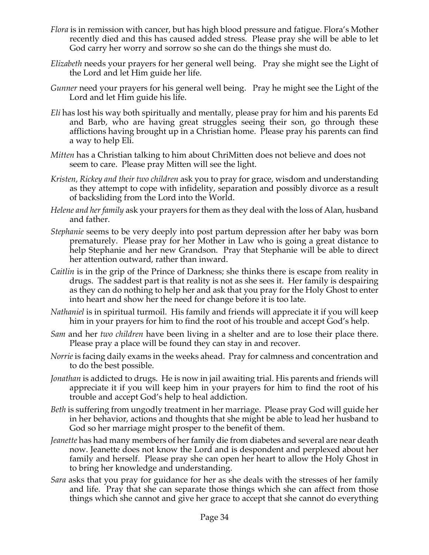- *Flora* is in remission with cancer, but has high blood pressure and fatigue. Flora's Mother recently died and this has caused added stress. Please pray she will be able to let God carry her worry and sorrow so she can do the things she must do.
- *Elizabeth* needs your prayers for her general well being. Pray she might see the Light of the Lord and let Him guide her life.
- *Gunner* need your prayers for his general well being. Pray he might see the Light of the Lord and let Him guide his life.
- *Eli* has lost his way both spiritually and mentally, please pray for him and his parents Ed and Barb, who are having great struggles seeing their son, go through these afflictions having brought up in a Christian home. Please pray his parents can find a way to help Eli.
- *Mitten* has a Christian talking to him about ChriMitten does not believe and does not seem to care. Please pray Mitten will see the light.
- *Kristen, Rickey and their two children* ask you to pray for grace, wisdom and understanding as they attempt to cope with infidelity, separation and possibly divorce as a result of backsliding from the Lord into the World.
- *Helene and her family* ask your prayers for them as they deal with the loss of Alan, husband and father.
- *Stephanie* seems to be very deeply into post partum depression after her baby was born prematurely. Please pray for her Mother in Law who is going a great distance to help Stephanie and her new Grandson. Pray that Stephanie will be able to direct her attention outward, rather than inward.
- *Caitlin* is in the grip of the Prince of Darkness; she thinks there is escape from reality in drugs. The saddest part is that reality is not as she sees it. Her family is despairing as they can do nothing to help her and ask that you pray for the Holy Ghost to enter into heart and show her the need for change before it is too late.
- *Nathaniel* is in spiritual turmoil. His family and friends will appreciate it if you will keep him in your prayers for him to find the root of his trouble and accept God's help.
- *Sam* and her *two children* have been living in a shelter and are to lose their place there. Please pray a place will be found they can stay in and recover.
- *Norrie* is facing daily exams in the weeks ahead. Pray for calmness and concentration and to do the best possible.
- *Jonathan* is addicted to drugs. He is now in jail awaiting trial. His parents and friends will appreciate it if you will keep him in your prayers for him to find the root of his trouble and accept God's help to heal addiction.
- *Beth* is suffering from ungodly treatment in her marriage. Please pray God will guide her in her behavior, actions and thoughts that she might be able to lead her husband to God so her marriage might prosper to the benefit of them.
- *Jeanette* has had many members of her family die from diabetes and several are near death now. Jeanette does not know the Lord and is despondent and perplexed about her family and herself. Please pray she can open her heart to allow the Holy Ghost in to bring her knowledge and understanding.
- *Sara* asks that you pray for guidance for her as she deals with the stresses of her family and life. Pray that she can separate those things which she can affect from those things which she cannot and give her grace to accept that she cannot do everything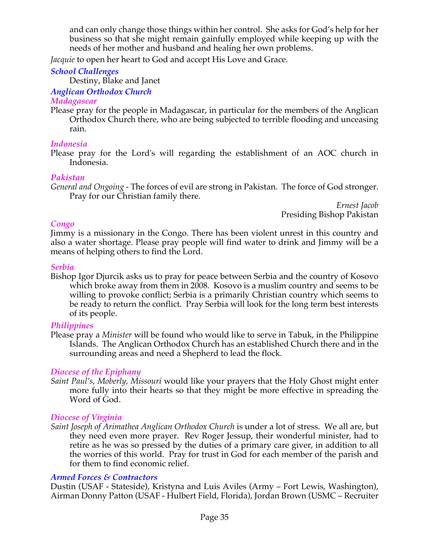and can only change those things within her control. She asks for God's help for her business so that she might remain gainfully employed while keeping up with the needs of her mother and husband and healing her own problems.

*Jacquie* to open her heart to God and accept His Love and Grace.

### *School Challenges*

Destiny, Blake and Janet

### *Anglican Orthodox Church*

#### *Madagascar*

Please pray for the people in Madagascar, in particular for the members of the Anglican Orthodox Church there, who are being subjected to terrible flooding and unceasing rain.

### *Indonesia*

Please pray for the Lord's will regarding the establishment of an AOC church in Indonesia.

### *Pakistan*

*General and Ongoing -* The forces of evil are strong in Pakistan. The force of God stronger. Pray for our Christian family there.

*Ernest Jacob* Presiding Bishop Pakistan

### *Congo*

Jimmy is a missionary in the Congo. There has been violent unrest in this country and also a water shortage. Please pray people will find water to drink and Jimmy will be a means of helping others to find the Lord.

### *Serbia*

Bishop Igor Djurcik asks us to pray for peace between Serbia and the country of Kosovo which broke away from them in 2008. Kosovo is a muslim country and seems to be willing to provoke conflict; Serbia is a primarily Christian country which seems to be ready to return the conflict. Pray Serbia will look for the long term best interests of its people.

## *Philippines*

Please pray a *Minister* will be found who would like to serve in Tabuk, in the Philippine Islands. The Anglican Orthodox Church has an established Church there and in the surrounding areas and need a Shepherd to lead the flock*.*

## *Diocese of the Epiphany*

*Saint Paul's, Moberly, Missouri* would like your prayers that the Holy Ghost might enter more fully into their hearts so that they might be more effective in spreading the Word of God.

## *Diocese of Virginia*

*Saint Joseph of Arimathea Anglican Orthodox Church* is under a lot of stress. We all are, but they need even more prayer. Rev Roger Jessup, their wonderful minister, had to retire as he was so pressed by the duties of a primary care giver, in addition to all the worries of this world. Pray for trust in God for each member of the parish and for them to find economic relief.

### *Armed Forces & Contractors*

Dustin (USAF - Stateside), Kristyna and Luis Aviles (Army – Fort Lewis, Washington), Airman Donny Patton (USAF - Hulbert Field, Florida), Jordan Brown (USMC – Recruiter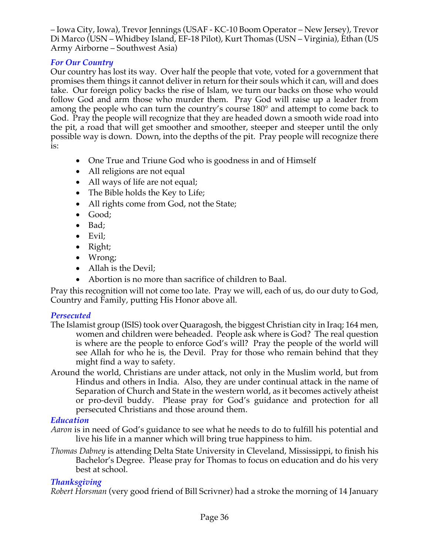– Iowa City, Iowa), Trevor Jennings (USAF - KC-10 Boom Operator – New Jersey), Trevor Di Marco (USN – Whidbey Island, EF-18 Pilot), Kurt Thomas (USN – Virginia), Ethan (US Army Airborne – Southwest Asia)

# *For Our Country*

Our country has lost its way. Over half the people that vote, voted for a government that promises them things it cannot deliver in return for their souls which it can, will and does take. Our foreign policy backs the rise of Islam, we turn our backs on those who would follow God and arm those who murder them. Pray God will raise up a leader from among the people who can turn the country's course 180° and attempt to come back to God. Pray the people will recognize that they are headed down a smooth wide road into the pit, a road that will get smoother and smoother, steeper and steeper until the only possible way is down. Down, into the depths of the pit. Pray people will recognize there is:

- One True and Triune God who is goodness in and of Himself
- All religions are not equal
- All ways of life are not equal;
- The Bible holds the Key to Life;
- All rights come from God, not the State;
- Good;
- Bad;
- Evil;
- Right;
- Wrong;
- Allah is the Devil;
- Abortion is no more than sacrifice of children to Baal.

Pray this recognition will not come too late. Pray we will, each of us, do our duty to God, Country and Family, putting His Honor above all.

## *Persecuted*

- The Islamist group (ISIS) took over Quaragosh, the biggest Christian city in Iraq; 164 men, women and children were beheaded. People ask where is God? The real question is where are the people to enforce God's will? Pray the people of the world will see Allah for who he is, the Devil. Pray for those who remain behind that they might find a way to safety.
- Around the world, Christians are under attack, not only in the Muslim world, but from Hindus and others in India. Also, they are under continual attack in the name of Separation of Church and State in the western world, as it becomes actively atheist or pro-devil buddy. Please pray for God's guidance and protection for all persecuted Christians and those around them.

# *Education*

- *Aaron* is in need of God's guidance to see what he needs to do to fulfill his potential and live his life in a manner which will bring true happiness to him.
- *Thomas Dabney* is attending Delta State University in Cleveland, Mississippi, to finish his Bachelor's Degree. Please pray for Thomas to focus on education and do his very best at school.

# *Thanksgiving*

*Robert Horsman* (very good friend of Bill Scrivner) had a stroke the morning of 14 January